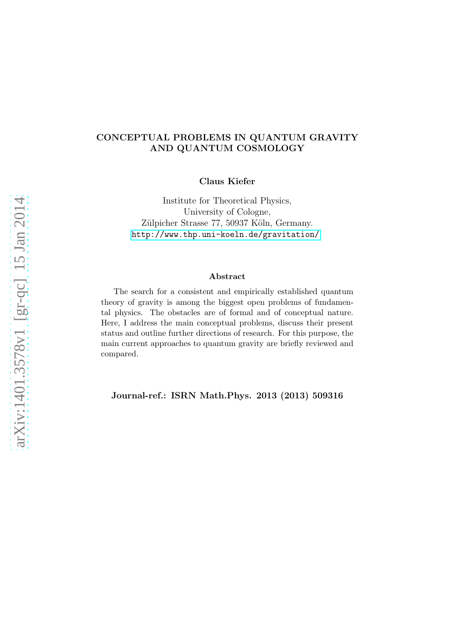### CONCEPTUAL PROBLEMS IN QUANTUM GRAVITY AND QUANTUM COSMOLOGY

Claus Kiefer

Institute for Theoretical Physics, University of Cologne, Zülpicher Strasse 77, 50937 Köln, Germany. <http://www.thp.uni-koeln.de/gravitation/>

#### Abstract

The search for a consistent and empirically established quantum theory of gravity is among the biggest open problems of fundamental physics. The obstacles are of formal and of conceptual nature. Here, I address the main conceptual problems, discuss their present status and outline further directions of research. For this purpose, the main current approaches to quantum gravity are briefly reviewed and compared.

Journal-ref.: ISRN Math.Phys. 2013 (2013) 509316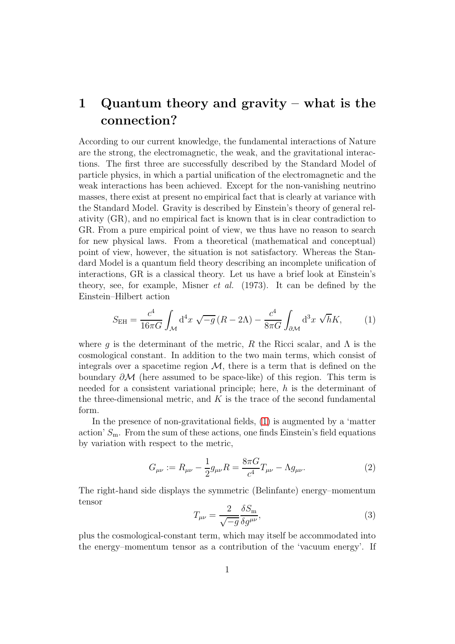# 1 Quantum theory and gravity – what is the connection?

According to our current knowledge, the fundamental interactions of Nature are the strong, the electromagnetic, the weak, and the gravitational interactions. The first three are successfully described by the Standard Model of particle physics, in which a partial unification of the electromagnetic and the weak interactions has been achieved. Except for the non-vanishing neutrino masses, there exist at present no empirical fact that is clearly at variance with the Standard Model. Gravity is described by Einstein's theory of general relativity (GR), and no empirical fact is known that is in clear contradiction to GR. From a pure empirical point of view, we thus have no reason to search for new physical laws. From a theoretical (mathematical and conceptual) point of view, however, the situation is not satisfactory. Whereas the Standard Model is a quantum field theory describing an incomplete unification of interactions, GR is a classical theory. Let us have a brief look at Einstein's theory, see, for example, Misner et al. (1973). It can be defined by the Einstein–Hilbert action

<span id="page-1-0"></span>
$$
S_{\rm EH} = \frac{c^4}{16\pi G} \int_{\mathcal{M}} d^4 x \sqrt{-g} \left( R - 2\Lambda \right) - \frac{c^4}{8\pi G} \int_{\partial \mathcal{M}} d^3 x \sqrt{h} K, \tag{1}
$$

where q is the determinant of the metric, R the Ricci scalar, and  $\Lambda$  is the cosmological constant. In addition to the two main terms, which consist of integrals over a spacetime region  $\mathcal{M}$ , there is a term that is defined on the boundary  $\partial M$  (here assumed to be space-like) of this region. This term is needed for a consistent variational principle; here, h is the determinant of the three-dimensional metric, and  $K$  is the trace of the second fundamental form.

In the presence of non-gravitational fields, [\(1\)](#page-1-0) is augmented by a 'matter action'  $S_m$ . From the sum of these actions, one finds Einstein's field equations by variation with respect to the metric,

<span id="page-1-1"></span>
$$
G_{\mu\nu} := R_{\mu\nu} - \frac{1}{2} g_{\mu\nu} R = \frac{8\pi G}{c^4} T_{\mu\nu} - \Lambda g_{\mu\nu}.
$$
 (2)

The right-hand side displays the symmetric (Belinfante) energy–momentum tensor

$$
T_{\mu\nu} = \frac{2}{\sqrt{-g}} \frac{\delta S_{\rm m}}{\delta g^{\mu\nu}},\tag{3}
$$

plus the cosmological-constant term, which may itself be accommodated into the energy–momentum tensor as a contribution of the 'vacuum energy'. If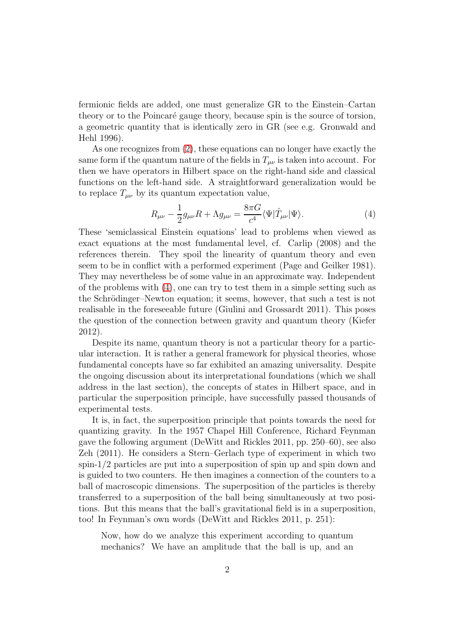fermionic fields are added, one must generalize GR to the Einstein–Cartan theory or to the Poincaré gauge theory, because spin is the source of torsion, a geometric quantity that is identically zero in GR (see e.g. Gronwald and Hehl 1996).

As one recognizes from [\(2\)](#page-1-1), these equations can no longer have exactly the same form if the quantum nature of the fields in  $T_{\mu\nu}$  is taken into account. For then we have operators in Hilbert space on the right-hand side and classical functions on the left-hand side. A straightforward generalization would be to replace  $T_{\mu\nu}$  by its quantum expectation value,

<span id="page-2-0"></span>
$$
R_{\mu\nu} - \frac{1}{2}g_{\mu\nu}R + \Lambda g_{\mu\nu} = \frac{8\pi G}{c^4} \langle \Psi | \hat{T}_{\mu\nu} | \Psi \rangle.
$$
 (4)

These 'semiclassical Einstein equations' lead to problems when viewed as exact equations at the most fundamental level, cf. Carlip (2008) and the references therein. They spoil the linearity of quantum theory and even seem to be in conflict with a performed experiment (Page and Geilker 1981). They may nevertheless be of some value in an approximate way. Independent of the problems with [\(4\)](#page-2-0), one can try to test them in a simple setting such as the Schrödinger–Newton equation; it seems, however, that such a test is not realisable in the foreseeable future (Giulini and Grossardt 2011). This poses the question of the connection between gravity and quantum theory (Kiefer 2012).

Despite its name, quantum theory is not a particular theory for a particular interaction. It is rather a general framework for physical theories, whose fundamental concepts have so far exhibited an amazing universality. Despite the ongoing discussion about its interpretational foundations (which we shall address in the last section), the concepts of states in Hilbert space, and in particular the superposition principle, have successfully passed thousands of experimental tests.

It is, in fact, the superposition principle that points towards the need for quantizing gravity. In the 1957 Chapel Hill Conference, Richard Feynman gave the following argument (DeWitt and Rickles 2011, pp. 250–60), see also Zeh (2011). He considers a Stern–Gerlach type of experiment in which two spin-1/2 particles are put into a superposition of spin up and spin down and is guided to two counters. He then imagines a connection of the counters to a ball of macroscopic dimensions. The superposition of the particles is thereby transferred to a superposition of the ball being simultaneously at two positions. But this means that the ball's gravitational field is in a superposition, too! In Feynman's own words (DeWitt and Rickles 2011, p. 251):

Now, how do we analyze this experiment according to quantum mechanics? We have an amplitude that the ball is up, and an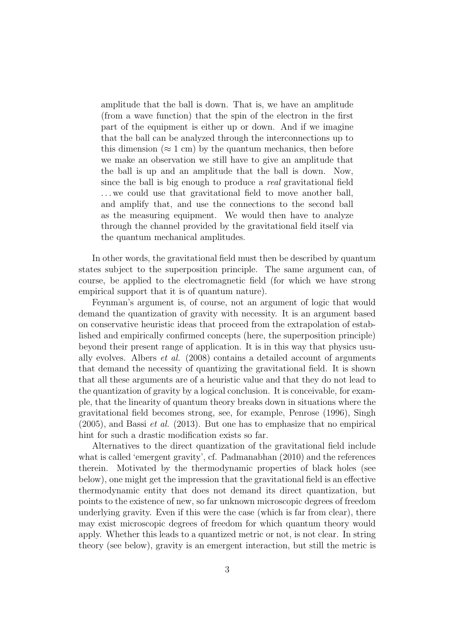amplitude that the ball is down. That is, we have an amplitude (from a wave function) that the spin of the electron in the first part of the equipment is either up or down. And if we imagine that the ball can be analyzed through the interconnections up to this dimension ( $\approx 1$  cm) by the quantum mechanics, then before we make an observation we still have to give an amplitude that the ball is up and an amplitude that the ball is down. Now, since the ball is big enough to produce a real gravitational field ... we could use that gravitational field to move another ball, and amplify that, and use the connections to the second ball as the measuring equipment. We would then have to analyze through the channel provided by the gravitational field itself via the quantum mechanical amplitudes.

In other words, the gravitational field must then be described by quantum states subject to the superposition principle. The same argument can, of course, be applied to the electromagnetic field (for which we have strong empirical support that it is of quantum nature).

Feynman's argument is, of course, not an argument of logic that would demand the quantization of gravity with necessity. It is an argument based on conservative heuristic ideas that proceed from the extrapolation of established and empirically confirmed concepts (here, the superposition principle) beyond their present range of application. It is in this way that physics usually evolves. Albers et al. (2008) contains a detailed account of arguments that demand the necessity of quantizing the gravitational field. It is shown that all these arguments are of a heuristic value and that they do not lead to the quantization of gravity by a logical conclusion. It is conceivable, for example, that the linearity of quantum theory breaks down in situations where the gravitational field becomes strong, see, for example, Penrose (1996), Singh  $(2005)$ , and Bassi *et al.*  $(2013)$ . But one has to emphasize that no empirical hint for such a drastic modification exists so far.

Alternatives to the direct quantization of the gravitational field include what is called 'emergent gravity', cf. Padmanabhan (2010) and the references therein. Motivated by the thermodynamic properties of black holes (see below), one might get the impression that the gravitational field is an effective thermodynamic entity that does not demand its direct quantization, but points to the existence of new, so far unknown microscopic degrees of freedom underlying gravity. Even if this were the case (which is far from clear), there may exist microscopic degrees of freedom for which quantum theory would apply. Whether this leads to a quantized metric or not, is not clear. In string theory (see below), gravity is an emergent interaction, but still the metric is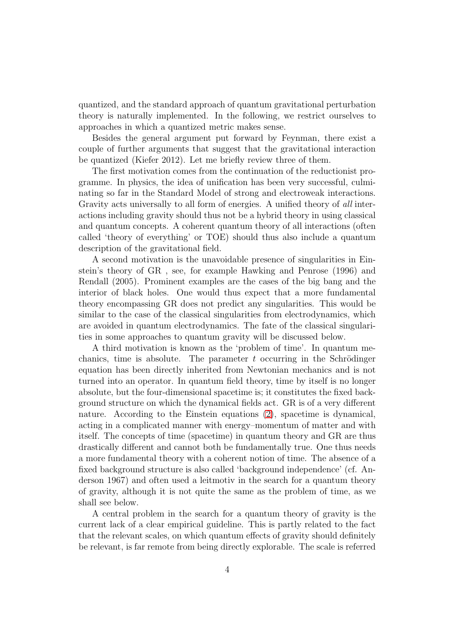quantized, and the standard approach of quantum gravitational perturbation theory is naturally implemented. In the following, we restrict ourselves to approaches in which a quantized metric makes sense.

Besides the general argument put forward by Feynman, there exist a couple of further arguments that suggest that the gravitational interaction be quantized (Kiefer 2012). Let me briefly review three of them.

The first motivation comes from the continuation of the reductionist programme. In physics, the idea of unification has been very successful, culminating so far in the Standard Model of strong and electroweak interactions. Gravity acts universally to all form of energies. A unified theory of all interactions including gravity should thus not be a hybrid theory in using classical and quantum concepts. A coherent quantum theory of all interactions (often called 'theory of everything' or TOE) should thus also include a quantum description of the gravitational field.

A second motivation is the unavoidable presence of singularities in Einstein's theory of GR , see, for example Hawking and Penrose (1996) and Rendall (2005). Prominent examples are the cases of the big bang and the interior of black holes. One would thus expect that a more fundamental theory encompassing GR does not predict any singularities. This would be similar to the case of the classical singularities from electrodynamics, which are avoided in quantum electrodynamics. The fate of the classical singularities in some approaches to quantum gravity will be discussed below.

A third motivation is known as the 'problem of time'. In quantum mechanics, time is absolute. The parameter  $t$  occurring in the Schrödinger equation has been directly inherited from Newtonian mechanics and is not turned into an operator. In quantum field theory, time by itself is no longer absolute, but the four-dimensional spacetime is; it constitutes the fixed background structure on which the dynamical fields act. GR is of a very different nature. According to the Einstein equations [\(2\)](#page-1-1), spacetime is dynamical, acting in a complicated manner with energy–momentum of matter and with itself. The concepts of time (spacetime) in quantum theory and GR are thus drastically different and cannot both be fundamentally true. One thus needs a more fundamental theory with a coherent notion of time. The absence of a fixed background structure is also called 'background independence' (cf. Anderson 1967) and often used a leitmotiv in the search for a quantum theory of gravity, although it is not quite the same as the problem of time, as we shall see below.

A central problem in the search for a quantum theory of gravity is the current lack of a clear empirical guideline. This is partly related to the fact that the relevant scales, on which quantum effects of gravity should definitely be relevant, is far remote from being directly explorable. The scale is referred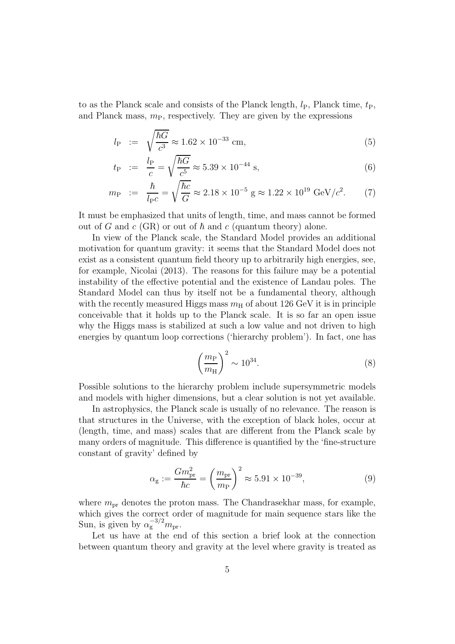to as the Planck scale and consists of the Planck length,  $l_P$ , Planck time,  $t_P$ , and Planck mass,  $m_{\rm P}$ , respectively. They are given by the expressions

$$
l_{\rm P} := \sqrt{\frac{\hbar G}{c^3}} \approx 1.62 \times 10^{-33} \text{ cm},\tag{5}
$$

$$
t_{\rm P} := \frac{l_{\rm P}}{c} = \sqrt{\frac{\hbar G}{c^5}} \approx 5.39 \times 10^{-44} \text{ s},
$$
 (6)

$$
m_{\rm P} := \frac{\hbar}{l_{\rm P}c} = \sqrt{\frac{\hbar c}{G}} \approx 2.18 \times 10^{-5} \, \text{g} \approx 1.22 \times 10^{19} \, \text{GeV}/c^2. \tag{7}
$$

It must be emphasized that units of length, time, and mass cannot be formed out of G and c (GR) or out of  $\hbar$  and c (quantum theory) alone.

In view of the Planck scale, the Standard Model provides an additional motivation for quantum gravity: it seems that the Standard Model does not exist as a consistent quantum field theory up to arbitrarily high energies, see, for example, Nicolai (2013). The reasons for this failure may be a potential instability of the effective potential and the existence of Landau poles. The Standard Model can thus by itself not be a fundamental theory, although with the recently measured Higgs mass  $m<sub>H</sub>$  of about 126 GeV it is in principle conceivable that it holds up to the Planck scale. It is so far an open issue why the Higgs mass is stabilized at such a low value and not driven to high energies by quantum loop corrections ('hierarchy problem'). In fact, one has

$$
\left(\frac{m_{\rm P}}{m_{\rm H}}\right)^2 \sim 10^{34}.\tag{8}
$$

Possible solutions to the hierarchy problem include supersymmetric models and models with higher dimensions, but a clear solution is not yet available.

In astrophysics, the Planck scale is usually of no relevance. The reason is that structures in the Universe, with the exception of black holes, occur at (length, time, and mass) scales that are different from the Planck scale by many orders of magnitude. This difference is quantified by the 'fine-structure constant of gravity' defined by

$$
\alpha_{\rm g} := \frac{Gm_{\rm pr}^2}{\hbar c} = \left(\frac{m_{\rm pr}}{m_{\rm P}}\right)^2 \approx 5.91 \times 10^{-39},\tag{9}
$$

where  $m_{\text{pr}}$  denotes the proton mass. The Chandrasekhar mass, for example, which gives the correct order of magnitude for main sequence stars like the Sun, is given by  $\alpha_g^{-3/2} m_{\text{pr}}$ .

Let us have at the end of this section a brief look at the connection between quantum theory and gravity at the level where gravity is treated as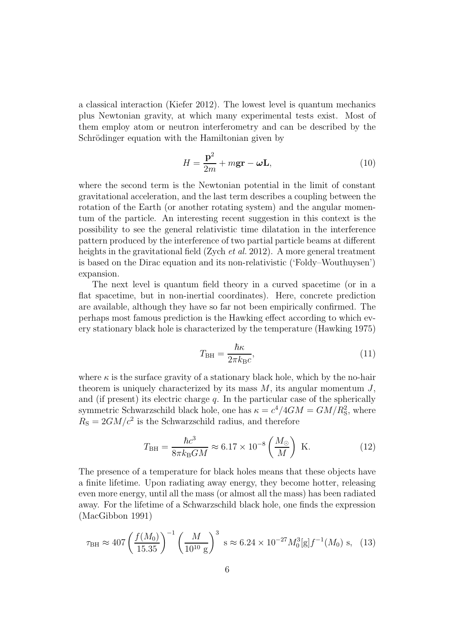a classical interaction (Kiefer 2012). The lowest level is quantum mechanics plus Newtonian gravity, at which many experimental tests exist. Most of them employ atom or neutron interferometry and can be described by the Schrödinger equation with the Hamiltonian given by

$$
H = \frac{\mathbf{p}^2}{2m} + m\mathbf{g}\mathbf{r} - \boldsymbol{\omega}\mathbf{L},
$$
\n(10)

where the second term is the Newtonian potential in the limit of constant gravitational acceleration, and the last term describes a coupling between the rotation of the Earth (or another rotating system) and the angular momentum of the particle. An interesting recent suggestion in this context is the possibility to see the general relativistic time dilatation in the interference pattern produced by the interference of two partial particle beams at different heights in the gravitational field (Zych *et al.* 2012). A more general treatment is based on the Dirac equation and its non-relativistic ('Foldy–Wouthuysen') expansion.

The next level is quantum field theory in a curved spacetime (or in a flat spacetime, but in non-inertial coordinates). Here, concrete prediction are available, although they have so far not been empirically confirmed. The perhaps most famous prediction is the Hawking effect according to which every stationary black hole is characterized by the temperature (Hawking 1975)

<span id="page-6-1"></span>
$$
T_{\rm BH} = \frac{\hbar \kappa}{2\pi k_{\rm B}c},\tag{11}
$$

where  $\kappa$  is the surface gravity of a stationary black hole, which by the no-hair theorem is uniquely characterized by its mass  $M$ , its angular momentum  $J$ , and (if present) its electric charge  $q$ . In the particular case of the spherically symmetric Schwarzschild black hole, one has  $\kappa = c^4/4GM = GM/R_S^2$ , where  $R_{\rm S} = 2GM/c^2$  is the Schwarzschild radius, and therefore

$$
T_{\rm BH} = \frac{\hbar c^3}{8\pi k_{\rm B}GM} \approx 6.17 \times 10^{-8} \left(\frac{M_{\odot}}{M}\right) \text{ K.}
$$
 (12)

The presence of a temperature for black holes means that these objects have a finite lifetime. Upon radiating away energy, they become hotter, releasing even more energy, until all the mass (or almost all the mass) has been radiated away. For the lifetime of a Schwarzschild black hole, one finds the expression (MacGibbon 1991)

<span id="page-6-0"></span>
$$
\tau_{\rm BH} \approx 407 \left( \frac{f(M_0)}{15.35} \right)^{-1} \left( \frac{M}{10^{10} \text{ g}} \right)^3 \text{ s} \approx 6.24 \times 10^{-27} M_0^3 [\text{g}] f^{-1}(M_0) \text{ s}, \quad (13)
$$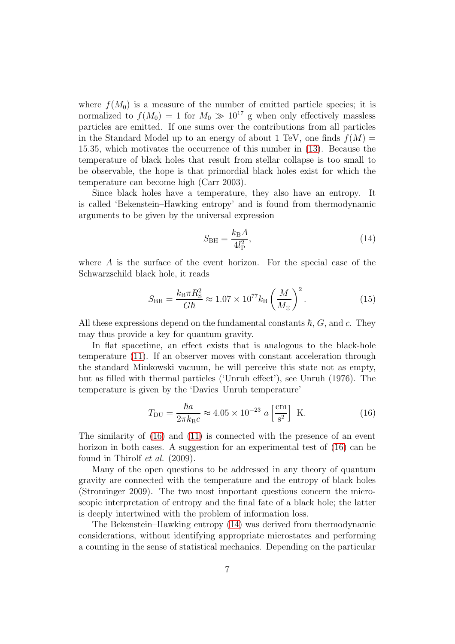where  $f(M_0)$  is a measure of the number of emitted particle species; it is normalized to  $f(M_0) = 1$  for  $M_0 \gg 10^{17}$  g when only effectively massless particles are emitted. If one sums over the contributions from all particles in the Standard Model up to an energy of about 1 TeV, one finds  $f(M) =$ 15.35, which motivates the occurrence of this number in [\(13\)](#page-6-0). Because the temperature of black holes that result from stellar collapse is too small to be observable, the hope is that primordial black holes exist for which the temperature can become high (Carr 2003).

Since black holes have a temperature, they also have an entropy. It is called 'Bekenstein–Hawking entropy' and is found from thermodynamic arguments to be given by the universal expression

<span id="page-7-1"></span>
$$
S_{\rm BH} = \frac{k_{\rm B}A}{4l_{\rm P}^2},\tag{14}
$$

where A is the surface of the event horizon. For the special case of the Schwarzschild black hole, it reads

$$
S_{\rm BH} = \frac{k_{\rm B}\pi R_{\rm S}^2}{G\hbar} \approx 1.07 \times 10^{77} k_{\rm B} \left(\frac{M}{M_{\odot}}\right)^2. \tag{15}
$$

All these expressions depend on the fundamental constants  $\hbar, G$ , and c. They may thus provide a key for quantum gravity.

In flat spacetime, an effect exists that is analogous to the black-hole temperature [\(11\)](#page-6-1). If an observer moves with constant acceleration through the standard Minkowski vacuum, he will perceive this state not as empty, but as filled with thermal particles ('Unruh effect'), see Unruh (1976). The temperature is given by the 'Davies–Unruh temperature'

<span id="page-7-0"></span>
$$
T_{\rm DU} = \frac{\hbar a}{2\pi k_{\rm B}c} \approx 4.05 \times 10^{-23} \ a \left[\frac{\text{cm}}{\text{s}^2}\right] \text{ K.}
$$
 (16)

The similarity of [\(16\)](#page-7-0) and [\(11\)](#page-6-1) is connected with the presence of an event horizon in both cases. A suggestion for an experimental test of [\(16\)](#page-7-0) can be found in Thirolf et al. (2009).

Many of the open questions to be addressed in any theory of quantum gravity are connected with the temperature and the entropy of black holes (Strominger 2009). The two most important questions concern the microscopic interpretation of entropy and the final fate of a black hole; the latter is deeply intertwined with the problem of information loss.

The Bekenstein–Hawking entropy [\(14\)](#page-7-1) was derived from thermodynamic considerations, without identifying appropriate microstates and performing a counting in the sense of statistical mechanics. Depending on the particular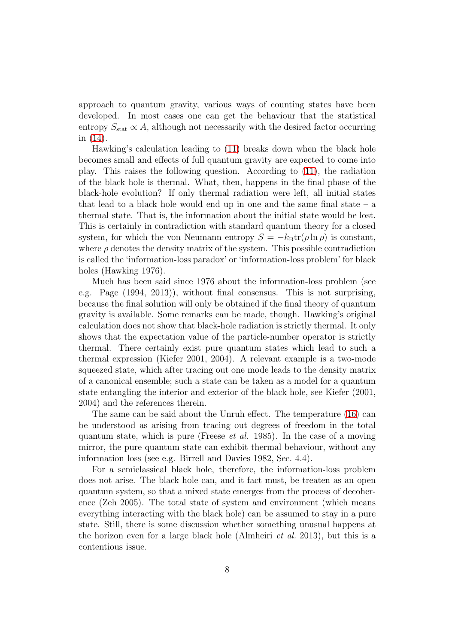approach to quantum gravity, various ways of counting states have been developed. In most cases one can get the behaviour that the statistical entropy  $S_{\text{stat}} \propto A$ , although not necessarily with the desired factor occurring in [\(14\)](#page-7-1).

Hawking's calculation leading to [\(11\)](#page-6-1) breaks down when the black hole becomes small and effects of full quantum gravity are expected to come into play. This raises the following question. According to [\(11\)](#page-6-1), the radiation of the black hole is thermal. What, then, happens in the final phase of the black-hole evolution? If only thermal radiation were left, all initial states that lead to a black hole would end up in one and the same final state  $-$  a thermal state. That is, the information about the initial state would be lost. This is certainly in contradiction with standard quantum theory for a closed system, for which the von Neumann entropy  $S = -k_B \text{tr}(\rho \ln \rho)$  is constant, where  $\rho$  denotes the density matrix of the system. This possible contradiction is called the 'information-loss paradox' or 'information-loss problem' for black holes (Hawking 1976).

Much has been said since 1976 about the information-loss problem (see e.g. Page (1994, 2013)), without final consensus. This is not surprising, because the final solution will only be obtained if the final theory of quantum gravity is available. Some remarks can be made, though. Hawking's original calculation does not show that black-hole radiation is strictly thermal. It only shows that the expectation value of the particle-number operator is strictly thermal. There certainly exist pure quantum states which lead to such a thermal expression (Kiefer 2001, 2004). A relevant example is a two-mode squeezed state, which after tracing out one mode leads to the density matrix of a canonical ensemble; such a state can be taken as a model for a quantum state entangling the interior and exterior of the black hole, see Kiefer (2001, 2004) and the references therein.

The same can be said about the Unruh effect. The temperature [\(16\)](#page-7-0) can be understood as arising from tracing out degrees of freedom in the total quantum state, which is pure (Freese *et al.* 1985). In the case of a moving mirror, the pure quantum state can exhibit thermal behaviour, without any information loss (see e.g. Birrell and Davies 1982, Sec. 4.4).

For a semiclassical black hole, therefore, the information-loss problem does not arise. The black hole can, and it fact must, be treaten as an open quantum system, so that a mixed state emerges from the process of decoherence (Zeh 2005). The total state of system and environment (which means everything interacting with the black hole) can be assumed to stay in a pure state. Still, there is some discussion whether something unusual happens at the horizon even for a large black hole (Almheiri et al. 2013), but this is a contentious issue.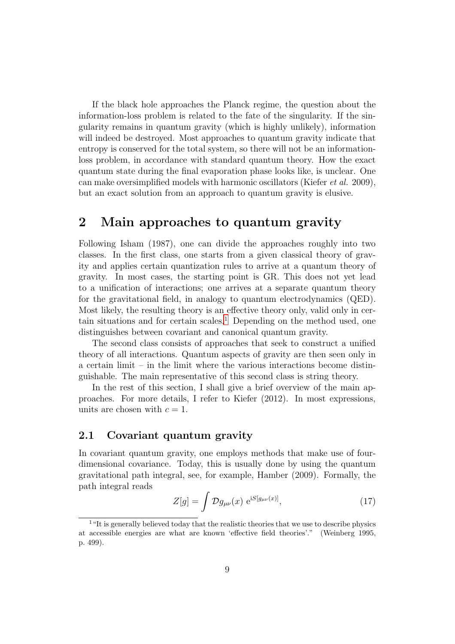If the black hole approaches the Planck regime, the question about the information-loss problem is related to the fate of the singularity. If the singularity remains in quantum gravity (which is highly unlikely), information will indeed be destroyed. Most approaches to quantum gravity indicate that entropy is conserved for the total system, so there will not be an informationloss problem, in accordance with standard quantum theory. How the exact quantum state during the final evaporation phase looks like, is unclear. One can make oversimplified models with harmonic oscillators (Kiefer et al. 2009), but an exact solution from an approach to quantum gravity is elusive.

## 2 Main approaches to quantum gravity

Following Isham (1987), one can divide the approaches roughly into two classes. In the first class, one starts from a given classical theory of gravity and applies certain quantization rules to arrive at a quantum theory of gravity. In most cases, the starting point is GR. This does not yet lead to a unification of interactions; one arrives at a separate quantum theory for the gravitational field, in analogy to quantum electrodynamics (QED). Most likely, the resulting theory is an effective theory only, valid only in cer-tain situations and for certain scales.<sup>[1](#page-9-0)</sup> Depending on the method used, one distinguishes between covariant and canonical quantum gravity.

The second class consists of approaches that seek to construct a unified theory of all interactions. Quantum aspects of gravity are then seen only in a certain limit – in the limit where the various interactions become distinguishable. The main representative of this second class is string theory.

In the rest of this section, I shall give a brief overview of the main approaches. For more details, I refer to Kiefer (2012). In most expressions, units are chosen with  $c = 1$ .

### 2.1 Covariant quantum gravity

In covariant quantum gravity, one employs methods that make use of fourdimensional covariance. Today, this is usually done by using the quantum gravitational path integral, see, for example, Hamber (2009). Formally, the path integral reads

<span id="page-9-1"></span>
$$
Z[g] = \int \mathcal{D}g_{\mu\nu}(x) e^{iS[g_{\mu\nu}(x)]}, \qquad (17)
$$

<span id="page-9-0"></span> $1$  "It is generally believed today that the realistic theories that we use to describe physics at accessible energies are what are known 'effective field theories'." (Weinberg 1995, p. 499).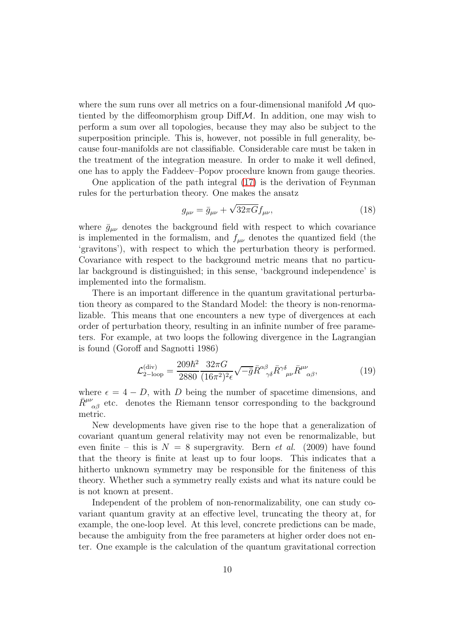where the sum runs over all metrics on a four-dimensional manifold  $\mathcal M$  quotiented by the diffeomorphism group  $Diff $M$ . In addition, one may wish to$ perform a sum over all topologies, because they may also be subject to the superposition principle. This is, however, not possible in full generality, because four-manifolds are not classifiable. Considerable care must be taken in the treatment of the integration measure. In order to make it well defined, one has to apply the Faddeev–Popov procedure known from gauge theories.

One application of the path integral [\(17\)](#page-9-1) is the derivation of Feynman rules for the perturbation theory. One makes the ansatz

$$
g_{\mu\nu} = \bar{g}_{\mu\nu} + \sqrt{32\pi G} f_{\mu\nu},\qquad(18)
$$

where  $\bar{g}_{\mu\nu}$  denotes the background field with respect to which covariance is implemented in the formalism, and  $f_{\mu\nu}$  denotes the quantized field (the 'gravitons'), with respect to which the perturbation theory is performed. Covariance with respect to the background metric means that no particular background is distinguished; in this sense, 'background independence' is implemented into the formalism.

There is an important difference in the quantum gravitational perturbation theory as compared to the Standard Model: the theory is non-renormalizable. This means that one encounters a new type of divergences at each order of perturbation theory, resulting in an infinite number of free parameters. For example, at two loops the following divergence in the Lagrangian is found (Goroff and Sagnotti 1986)

$$
\mathcal{L}_{2-\text{loop}}^{(\text{div})} = \frac{209\hbar^2}{2880} \frac{32\pi G}{(16\pi^2)^2 \epsilon} \sqrt{-\bar{g}} \bar{R}^{\alpha\beta}_{\gamma\delta} \bar{R}^{\gamma\delta}_{\mu\nu} \bar{R}^{\mu\nu}_{\alpha\beta},\tag{19}
$$

where  $\epsilon = 4 - D$ , with D being the number of spacetime dimensions, and  $\bar{R}^{\mu\nu}_{\ \ \alpha\beta}$  etc. denotes the Riemann tensor corresponding to the background metric.

New developments have given rise to the hope that a generalization of covariant quantum general relativity may not even be renormalizable, but even finite – this is  $N = 8$  supergravity. Bern *et al.* (2009) have found that the theory is finite at least up to four loops. This indicates that a hitherto unknown symmetry may be responsible for the finiteness of this theory. Whether such a symmetry really exists and what its nature could be is not known at present.

Independent of the problem of non-renormalizability, one can study covariant quantum gravity at an effective level, truncating the theory at, for example, the one-loop level. At this level, concrete predictions can be made, because the ambiguity from the free parameters at higher order does not enter. One example is the calculation of the quantum gravitational correction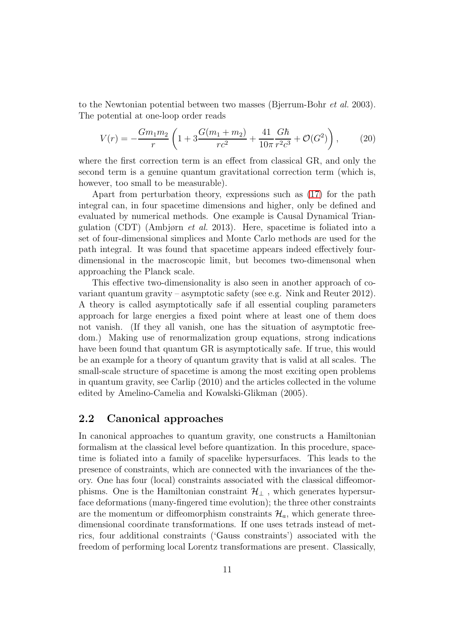to the Newtonian potential between two masses (Bjerrum-Bohr et al. 2003). The potential at one-loop order reads

$$
V(r) = -\frac{Gm_1m_2}{r} \left( 1 + 3\frac{G(m_1 + m_2)}{rc^2} + \frac{41}{10\pi} \frac{G\hbar}{r^2 c^3} + \mathcal{O}(G^2) \right),\tag{20}
$$

where the first correction term is an effect from classical GR, and only the second term is a genuine quantum gravitational correction term (which is, however, too small to be measurable).

Apart from perturbation theory, expressions such as [\(17\)](#page-9-1) for the path integral can, in four spacetime dimensions and higher, only be defined and evaluated by numerical methods. One example is Causal Dynamical Triangulation (CDT) (Ambjørn et al. 2013). Here, spacetime is foliated into a set of four-dimensional simplices and Monte Carlo methods are used for the path integral. It was found that spacetime appears indeed effectively fourdimensional in the macroscopic limit, but becomes two-dimensonal when approaching the Planck scale.

This effective two-dimensionality is also seen in another approach of covariant quantum gravity – asymptotic safety (see e.g. Nink and Reuter 2012). A theory is called asymptotically safe if all essential coupling parameters approach for large energies a fixed point where at least one of them does not vanish. (If they all vanish, one has the situation of asymptotic freedom.) Making use of renormalization group equations, strong indications have been found that quantum GR is asymptotically safe. If true, this would be an example for a theory of quantum gravity that is valid at all scales. The small-scale structure of spacetime is among the most exciting open problems in quantum gravity, see Carlip (2010) and the articles collected in the volume edited by Amelino-Camelia and Kowalski-Glikman (2005).

### 2.2 Canonical approaches

In canonical approaches to quantum gravity, one constructs a Hamiltonian formalism at the classical level before quantization. In this procedure, spacetime is foliated into a family of spacelike hypersurfaces. This leads to the presence of constraints, which are connected with the invariances of the theory. One has four (local) constraints associated with the classical diffeomorphisms. One is the Hamiltonian constraint  $\mathcal{H}_{\perp}$ , which generates hypersurface deformations (many-fingered time evolution); the three other constraints are the momentum or diffeomorphism constraints  $\mathcal{H}_a$ , which generate threedimensional coordinate transformations. If one uses tetrads instead of metrics, four additional constraints ('Gauss constraints') associated with the freedom of performing local Lorentz transformations are present. Classically,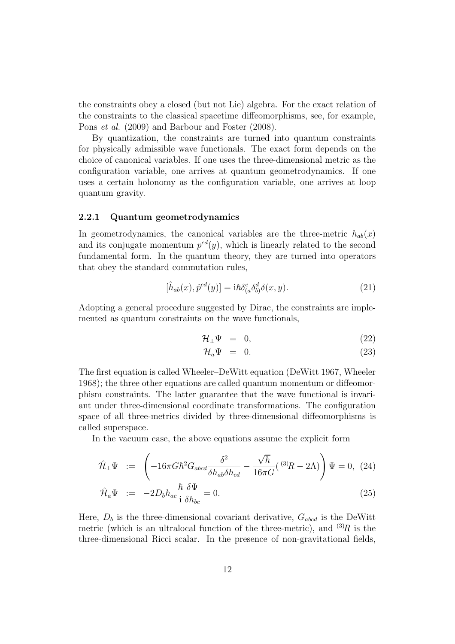the constraints obey a closed (but not Lie) algebra. For the exact relation of the constraints to the classical spacetime diffeomorphisms, see, for example, Pons et al. (2009) and Barbour and Foster (2008).

By quantization, the constraints are turned into quantum constraints for physically admissible wave functionals. The exact form depends on the choice of canonical variables. If one uses the three-dimensional metric as the configuration variable, one arrives at quantum geometrodynamics. If one uses a certain holonomy as the configuration variable, one arrives at loop quantum gravity.

#### 2.2.1 Quantum geometrodynamics

In geometrodynamics, the canonical variables are the three-metric  $h_{ab}(x)$ and its conjugate momentum  $p^{cd}(y)$ , which is linearly related to the second fundamental form. In the quantum theory, they are turned into operators that obey the standard commutation rules,

$$
[\hat{h}_{ab}(x), \hat{p}^{cd}(y)] = i\hbar \delta^c_{(a} \delta^d_{b)} \delta(x, y). \tag{21}
$$

Adopting a general procedure suggested by Dirac, the constraints are implemented as quantum constraints on the wave functionals,

$$
\mathcal{H}_{\perp}\Psi = 0, \tag{22}
$$

$$
\mathcal{H}_a \Psi = 0. \tag{23}
$$

The first equation is called Wheeler–DeWitt equation (DeWitt 1967, Wheeler 1968); the three other equations are called quantum momentum or diffeomorphism constraints. The latter guarantee that the wave functional is invariant under three-dimensional coordinate transformations. The configuration space of all three-metrics divided by three-dimensional diffeomorphisms is called superspace.

In the vacuum case, the above equations assume the explicit form

<span id="page-12-0"></span>
$$
\hat{\mathcal{H}}_{\perp}\Psi := \left(-16\pi G\hbar^2 G_{abcd} \frac{\delta^2}{\delta h_{ab}\delta h_{cd}} - \frac{\sqrt{h}}{16\pi G}(\,^{(3)}\!R - 2\Lambda)\right)\Psi = 0, \tag{24}
$$
\n
$$
\hat{\mathcal{H}}_a\Psi := -2D_b h_{ac} \frac{\hbar}{i} \frac{\delta\Psi}{\delta h_{bc}} = 0. \tag{25}
$$

Here,  $D_b$  is the three-dimensional covariant derivative,  $G_{abcd}$  is the DeWitt metric (which is an ultralocal function of the three-metric), and  $(3)R$  is the three-dimensional Ricci scalar. In the presence of non-gravitational fields,

 $\delta h_{bc}$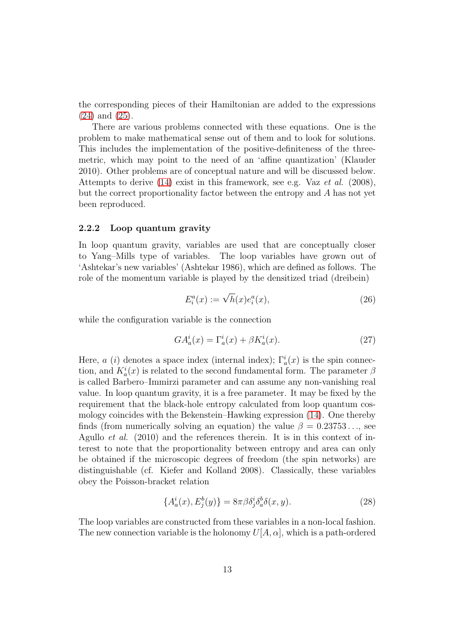the corresponding pieces of their Hamiltonian are added to the expressions [\(24\)](#page-12-0) and [\(25\)](#page-12-0).

There are various problems connected with these equations. One is the problem to make mathematical sense out of them and to look for solutions. This includes the implementation of the positive-definiteness of the threemetric, which may point to the need of an 'affine quantization' (Klauder 2010). Other problems are of conceptual nature and will be discussed below. Attempts to derive  $(14)$  exist in this framework, see e.g. Vaz et al.  $(2008)$ , but the correct proportionality factor between the entropy and A has not yet been reproduced.

#### 2.2.2 Loop quantum gravity

In loop quantum gravity, variables are used that are conceptually closer to Yang–Mills type of variables. The loop variables have grown out of 'Ashtekar's new variables' (Ashtekar 1986), which are defined as follows. The role of the momentum variable is played by the densitized triad (dreibein)

$$
E_i^a(x) := \sqrt{h}(x)e_i^a(x),\tag{26}
$$

while the configuration variable is the connection

<span id="page-13-0"></span>
$$
GA_a^i(x) = \Gamma_a^i(x) + \beta K_a^i(x). \tag{27}
$$

Here, a (i) denotes a space index (internal index);  $\Gamma_a^i(x)$  is the spin connection, and  $K_a^i(x)$  is related to the second fundamental form. The parameter  $\beta$ is called Barbero–Immirzi parameter and can assume any non-vanishing real value. In loop quantum gravity, it is a free parameter. It may be fixed by the requirement that the black-hole entropy calculated from loop quantum cosmology coincides with the Bekenstein–Hawking expression [\(14\)](#page-7-1). One thereby finds (from numerically solving an equation) the value  $\beta = 0.23753...$  see Agullo *et al.* (2010) and the references therein. It is in this context of interest to note that the proportionality between entropy and area can only be obtained if the microscopic degrees of freedom (the spin networks) are distinguishable (cf. Kiefer and Kolland 2008). Classically, these variables obey the Poisson-bracket relation

$$
\{A_a^i(x), E_j^b(y)\} = 8\pi \beta \delta_j^i \delta_a^b \delta(x, y). \tag{28}
$$

The loop variables are constructed from these variables in a non-local fashion. The new connection variable is the holonomy  $U[A, \alpha]$ , which is a path-ordered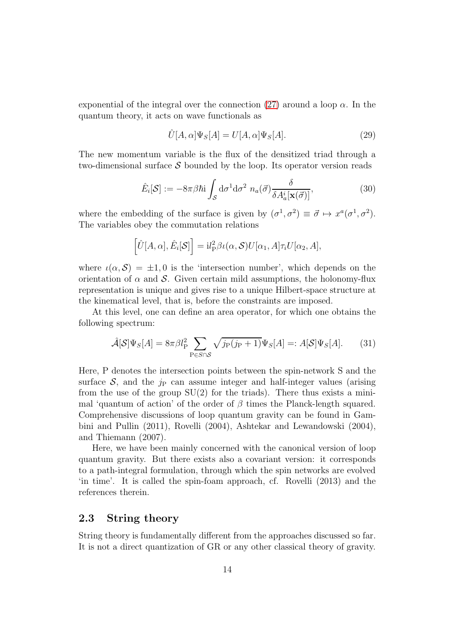exponential of the integral over the connection [\(27\)](#page-13-0) around a loop  $\alpha$ . In the quantum theory, it acts on wave functionals as

$$
\hat{U}[A,\alpha]\Psi_S[A] = U[A,\alpha]\Psi_S[A].\tag{29}
$$

The new momentum variable is the flux of the densitized triad through a two-dimensional surface  $S$  bounded by the loop. Its operator version reads

$$
\hat{E}_i[\mathcal{S}] := -8\pi\beta\hbar \mathbf{i} \int_{\mathcal{S}} d\sigma^1 d\sigma^2 \ n_a(\vec{\sigma}) \frac{\delta}{\delta A_a^i[\mathbf{x}(\vec{\sigma})]},\tag{30}
$$

where the embedding of the surface is given by  $(\sigma^1, \sigma^2) \equiv \vec{\sigma} \mapsto x^a (\sigma^1, \sigma^2)$ . The variables obey the commutation relations

$$
\left[\hat{U}[A,\alpha],\hat{E}_i[\mathcal{S}]\right] = i l_P^2 \beta \iota(\alpha,\mathcal{S}) U[\alpha_1,A]\tau_i U[\alpha_2,A],
$$

where  $\iota(\alpha, \mathcal{S}) = \pm 1, 0$  is the 'intersection number', which depends on the orientation of  $\alpha$  and S. Given certain mild assumptions, the holonomy-flux representation is unique and gives rise to a unique Hilbert-space structure at the kinematical level, that is, before the constraints are imposed.

At this level, one can define an area operator, for which one obtains the following spectrum:

$$
\hat{\mathcal{A}}[\mathcal{S}]\Psi_S[A] = 8\pi \beta l_P^2 \sum_{P \in S \cap \mathcal{S}} \sqrt{j_P(j_P + 1)} \Psi_S[A] =: A[\mathcal{S}]\Psi_S[A]. \tag{31}
$$

Here, P denotes the intersection points between the spin-network S and the surface  $S$ , and the  $i<sub>P</sub>$  can assume integer and half-integer values (arising from the use of the group  $SU(2)$  for the triads). There thus exists a minimal 'quantum of action' of the order of  $\beta$  times the Planck-length squared. Comprehensive discussions of loop quantum gravity can be found in Gambini and Pullin (2011), Rovelli (2004), Ashtekar and Lewandowski (2004), and Thiemann (2007).

Here, we have been mainly concerned with the canonical version of loop quantum gravity. But there exists also a covariant version: it corresponds to a path-integral formulation, through which the spin networks are evolved 'in time'. It is called the spin-foam approach, cf. Rovelli (2013) and the references therein.

### 2.3 String theory

String theory is fundamentally different from the approaches discussed so far. It is not a direct quantization of GR or any other classical theory of gravity.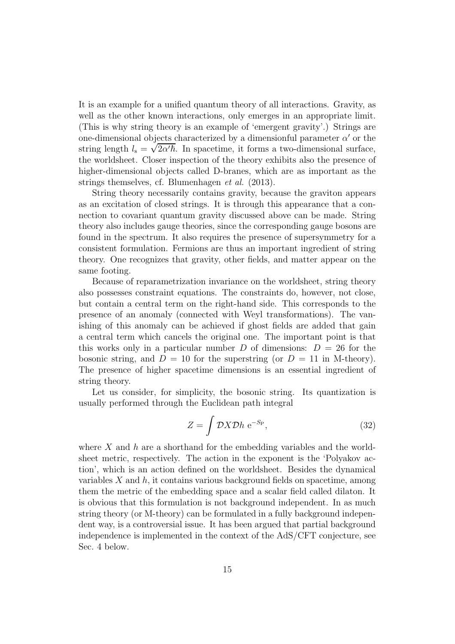It is an example for a unified quantum theory of all interactions. Gravity, as well as the other known interactions, only emerges in an appropriate limit. (This is why string theory is an example of 'emergent gravity'.) Strings are one-dimensional objects characterized by a dimensionful parameter  $\alpha'$  or the string length  $l_s = \sqrt{2\alpha'}\hbar$ . In spacetime, it forms a two-dimensional surface, the worldsheet. Closer inspection of the theory exhibits also the presence of higher-dimensional objects called D-branes, which are as important as the strings themselves, cf. Blumenhagen et al. (2013).

String theory necessarily contains gravity, because the graviton appears as an excitation of closed strings. It is through this appearance that a connection to covariant quantum gravity discussed above can be made. String theory also includes gauge theories, since the corresponding gauge bosons are found in the spectrum. It also requires the presence of supersymmetry for a consistent formulation. Fermions are thus an important ingredient of string theory. One recognizes that gravity, other fields, and matter appear on the same footing.

Because of reparametrization invariance on the worldsheet, string theory also possesses constraint equations. The constraints do, however, not close, but contain a central term on the right-hand side. This corresponds to the presence of an anomaly (connected with Weyl transformations). The vanishing of this anomaly can be achieved if ghost fields are added that gain a central term which cancels the original one. The important point is that this works only in a particular number D of dimensions:  $D = 26$  for the bosonic string, and  $D = 10$  for the superstring (or  $D = 11$  in M-theory). The presence of higher spacetime dimensions is an essential ingredient of string theory.

Let us consider, for simplicity, the bosonic string. Its quantization is usually performed through the Euclidean path integral

$$
Z = \int \mathcal{D}X \mathcal{D}h \, \mathrm{e}^{-S_{\mathrm{P}}},\tag{32}
$$

where  $X$  and  $h$  are a shorthand for the embedding variables and the worldsheet metric, respectively. The action in the exponent is the 'Polyakov action', which is an action defined on the worldsheet. Besides the dynamical variables  $X$  and  $h$ , it contains various background fields on spacetime, among them the metric of the embedding space and a scalar field called dilaton. It is obvious that this formulation is not background independent. In as much string theory (or M-theory) can be formulated in a fully background independent way, is a controversial issue. It has been argued that partial background independence is implemented in the context of the AdS/CFT conjecture, see Sec. 4 below.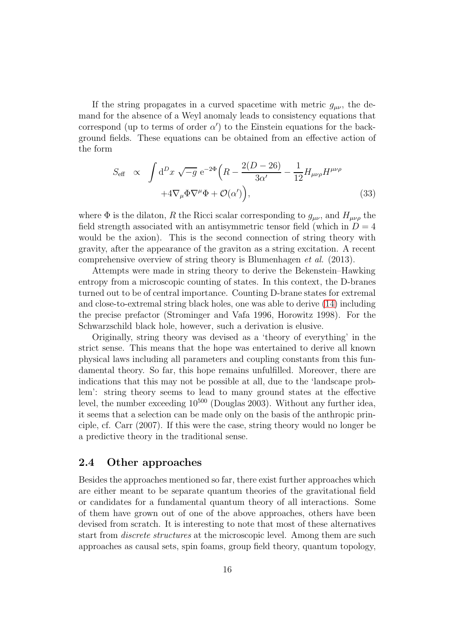If the string propagates in a curved spacetime with metric  $g_{\mu\nu}$ , the demand for the absence of a Weyl anomaly leads to consistency equations that correspond (up to terms of order  $\alpha'$ ) to the Einstein equations for the background fields. These equations can be obtained from an effective action of the form

$$
S_{\text{eff}} \propto \int d^D x \sqrt{-g} e^{-2\Phi} \left( R - \frac{2(D - 26)}{3\alpha'} - \frac{1}{12} H_{\mu\nu\rho} H^{\mu\nu\rho} + 4 \nabla_{\mu} \Phi \nabla^{\mu} \Phi + \mathcal{O}(\alpha') \right), \tag{33}
$$

where  $\Phi$  is the dilaton, R the Ricci scalar corresponding to  $g_{\mu\nu}$ , and  $H_{\mu\nu\rho}$  the field strength associated with an antisymmetric tensor field (which in  $D = 4$ ) would be the axion). This is the second connection of string theory with gravity, after the appearance of the graviton as a string excitation. A recent comprehensive overview of string theory is Blumenhagen et al. (2013).

Attempts were made in string theory to derive the Bekenstein–Hawking entropy from a microscopic counting of states. In this context, the D-branes turned out to be of central importance. Counting D-brane states for extremal and close-to-extremal string black holes, one was able to derive [\(14\)](#page-7-1) including the precise prefactor (Strominger and Vafa 1996, Horowitz 1998). For the Schwarzschild black hole, however, such a derivation is elusive.

Originally, string theory was devised as a 'theory of everything' in the strict sense. This means that the hope was entertained to derive all known physical laws including all parameters and coupling constants from this fundamental theory. So far, this hope remains unfulfilled. Moreover, there are indications that this may not be possible at all, due to the 'landscape problem': string theory seems to lead to many ground states at the effective level, the number exceeding  $10^{500}$  (Douglas 2003). Without any further idea, it seems that a selection can be made only on the basis of the anthropic principle, cf. Carr (2007). If this were the case, string theory would no longer be a predictive theory in the traditional sense.

#### 2.4 Other approaches

Besides the approaches mentioned so far, there exist further approaches which are either meant to be separate quantum theories of the gravitational field or candidates for a fundamental quantum theory of all interactions. Some of them have grown out of one of the above approaches, others have been devised from scratch. It is interesting to note that most of these alternatives start from *discrete structures* at the microscopic level. Among them are such approaches as causal sets, spin foams, group field theory, quantum topology,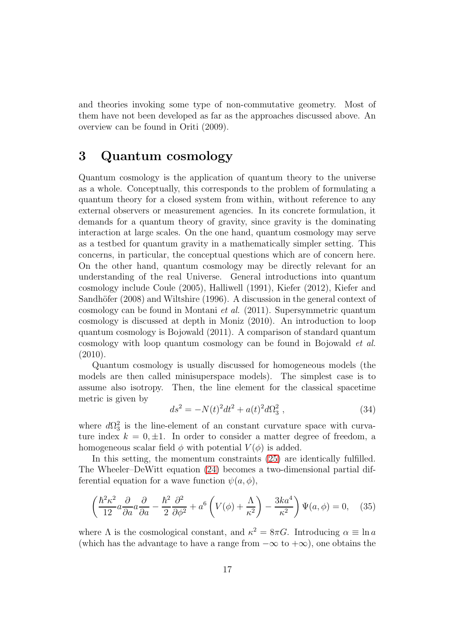and theories invoking some type of non-commutative geometry. Most of them have not been developed as far as the approaches discussed above. An overview can be found in Oriti (2009).

# 3 Quantum cosmology

Quantum cosmology is the application of quantum theory to the universe as a whole. Conceptually, this corresponds to the problem of formulating a quantum theory for a closed system from within, without reference to any external observers or measurement agencies. In its concrete formulation, it demands for a quantum theory of gravity, since gravity is the dominating interaction at large scales. On the one hand, quantum cosmology may serve as a testbed for quantum gravity in a mathematically simpler setting. This concerns, in particular, the conceptual questions which are of concern here. On the other hand, quantum cosmology may be directly relevant for an understanding of the real Universe. General introductions into quantum cosmology include Coule (2005), Halliwell (1991), Kiefer (2012), Kiefer and Sandhöfer (2008) and Wiltshire (1996). A discussion in the general context of cosmology can be found in Montani et al. (2011). Supersymmetric quantum cosmology is discussed at depth in Moniz (2010). An introduction to loop quantum cosmology is Bojowald (2011). A comparison of standard quantum cosmology with loop quantum cosmology can be found in Bojowald et al.  $(2010).$ 

Quantum cosmology is usually discussed for homogeneous models (the models are then called minisuperspace models). The simplest case is to assume also isotropy. Then, the line element for the classical spacetime metric is given by

$$
ds^{2} = -N(t)^{2}dt^{2} + a(t)^{2}d\Omega_{3}^{2} , \qquad (34)
$$

where  $d\Omega_3^2$  is the line-element of an constant curvature space with curvature index  $k = 0, \pm 1$ . In order to consider a matter degree of freedom, a homogeneous scalar field  $\phi$  with potential  $V(\phi)$  is added.

In this setting, the momentum constraints [\(25\)](#page-12-0) are identically fulfilled. The Wheeler–DeWitt equation [\(24\)](#page-12-0) becomes a two-dimensional partial differential equation for a wave function  $\psi(a, \phi)$ ,

<span id="page-17-0"></span>
$$
\left(\frac{\hbar^2 \kappa^2}{12} a \frac{\partial}{\partial a} a \frac{\partial}{\partial a} - \frac{\hbar^2}{2} \frac{\partial^2}{\partial \phi^2} + a^6 \left(V(\phi) + \frac{\Lambda}{\kappa^2}\right) - \frac{3ka^4}{\kappa^2}\right) \Psi(a, \phi) = 0, \quad (35)
$$

where  $\Lambda$  is the cosmological constant, and  $\kappa^2 = 8\pi G$ . Introducing  $\alpha \equiv \ln a$ (which has the advantage to have a range from  $-\infty$  to  $+\infty$ ), one obtains the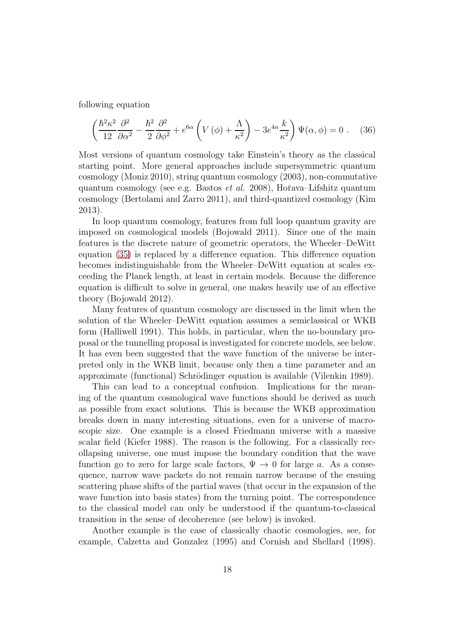following equation

<span id="page-18-0"></span>
$$
\left(\frac{\hbar^2 \kappa^2}{12} \frac{\partial^2}{\partial \alpha^2} - \frac{\hbar^2}{2} \frac{\partial^2}{\partial \phi^2} + e^{6\alpha} \left(V(\phi) + \frac{\Lambda}{\kappa^2}\right) - 3e^{4\alpha} \frac{k}{\kappa^2}\right) \Psi(\alpha, \phi) = 0 \ . \tag{36}
$$

Most versions of quantum cosmology take Einstein's theory as the classical starting point. More general approaches include supersymmetric quantum cosmology (Moniz 2010), string quantum cosmology (2003), non-commutative quantum cosmology (see e.g. Bastos *et al.* 2008), Hořava–Lifshitz quantum cosmology (Bertolami and Zarro 2011), and third-quantized cosmology (Kim 2013).

In loop quantum cosmology, features from full loop quantum gravity are imposed on cosmological models (Bojowald 2011). Since one of the main features is the discrete nature of geometric operators, the Wheeler–DeWitt equation [\(35\)](#page-17-0) is replaced by a difference equation. This difference equation becomes indistinguishable from the Wheeler–DeWitt equation at scales exceeding the Planck length, at least in certain models. Because the difference equation is difficult to solve in general, one makes heavily use of an effective theory (Bojowald 2012).

Many features of quantum cosmology are discussed in the limit when the solution of the Wheeler–DeWitt equation assumes a semiclassical or WKB form (Halliwell 1991). This holds, in particular, when the no-boundary proposal or the tunnelling proposal is investigated for concrete models, see below. It has even been suggested that the wave function of the universe be interpreted only in the WKB limit, because only then a time parameter and an approximate (functional) Schrödinger equation is available (Vilenkin 1989).

This can lead to a conceptual confusion. Implications for the meaning of the quantum cosmological wave functions should be derived as much as possible from exact solutions. This is because the WKB approximation breaks down in many interesting situations, even for a universe of macroscopic size. One example is a closed Friedmann universe with a massive scalar field (Kiefer 1988). The reason is the following. For a classically recollapsing universe, one must impose the boundary condition that the wave function go to zero for large scale factors,  $\Psi \to 0$  for large a. As a consequence, narrow wave packets do not remain narrow because of the ensuing scattering phase shifts of the partial waves (that occur in the expansion of the wave function into basis states) from the turning point. The correspondence to the classical model can only be understood if the quantum-to-classical transition in the sense of decoherence (see below) is invoked.

Another example is the case of classically chaotic cosmologies, see, for example, Calzetta and Gonzalez (1995) and Cornish and Shellard (1998).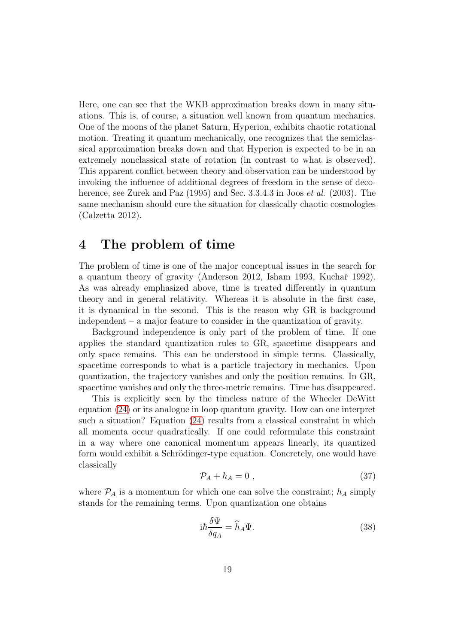Here, one can see that the WKB approximation breaks down in many situations. This is, of course, a situation well known from quantum mechanics. One of the moons of the planet Saturn, Hyperion, exhibits chaotic rotational motion. Treating it quantum mechanically, one recognizes that the semiclassical approximation breaks down and that Hyperion is expected to be in an extremely nonclassical state of rotation (in contrast to what is observed). This apparent conflict between theory and observation can be understood by invoking the influence of additional degrees of freedom in the sense of decoherence, see Zurek and Paz (1995) and Sec. 3.3.4.3 in Joos *et al.* (2003). The same mechanism should cure the situation for classically chaotic cosmologies (Calzetta 2012).

### 4 The problem of time

The problem of time is one of the major conceptual issues in the search for a quantum theory of gravity (Anderson 2012, Isham 1993, Kuchař 1992). As was already emphasized above, time is treated differently in quantum theory and in general relativity. Whereas it is absolute in the first case, it is dynamical in the second. This is the reason why GR is background independent – a major feature to consider in the quantization of gravity.

Background independence is only part of the problem of time. If one applies the standard quantization rules to GR, spacetime disappears and only space remains. This can be understood in simple terms. Classically, spacetime corresponds to what is a particle trajectory in mechanics. Upon quantization, the trajectory vanishes and only the position remains. In GR, spacetime vanishes and only the three-metric remains. Time has disappeared.

This is explicitly seen by the timeless nature of the Wheeler–DeWitt equation [\(24\)](#page-12-0) or its analogue in loop quantum gravity. How can one interpret such a situation? Equation [\(24\)](#page-12-0) results from a classical constraint in which all momenta occur quadratically. If one could reformulate this constraint in a way where one canonical momentum appears linearly, its quantized form would exhibit a Schrödinger-type equation. Concretely, one would have classically

<span id="page-19-0"></span>
$$
\mathcal{P}_A + h_A = 0 \tag{37}
$$

where  $P_A$  is a momentum for which one can solve the constraint;  $h_A$  simply stands for the remaining terms. Upon quantization one obtains

<span id="page-19-1"></span>
$$
i\hbar \frac{\delta \Psi}{\delta q_A} = \hat{h}_A \Psi.
$$
\n(38)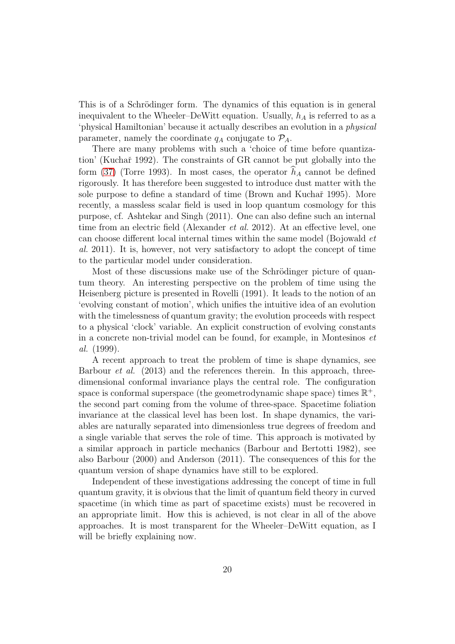This is of a Schrödinger form. The dynamics of this equation is in general inequivalent to the Wheeler–DeWitt equation. Usually,  $h_A$  is referred to as a 'physical Hamiltonian' because it actually describes an evolution in a physical parameter, namely the coordinate  $q_A$  conjugate to  $\mathcal{P}_A$ .

There are many problems with such a 'choice of time before quantization' (Kuchař 1992). The constraints of GR cannot be put globally into the form [\(37\)](#page-19-0) (Torre 1993). In most cases, the operator  $h_A$  cannot be defined rigorously. It has therefore been suggested to introduce dust matter with the sole purpose to define a standard of time (Brown and Kuchař 1995). More recently, a massless scalar field is used in loop quantum cosmology for this purpose, cf. Ashtekar and Singh (2011). One can also define such an internal time from an electric field (Alexander *et al.* 2012). At an effective level, one can choose different local internal times within the same model (Bojowald et al. 2011). It is, however, not very satisfactory to adopt the concept of time to the particular model under consideration.

Most of these discussions make use of the Schrödinger picture of quantum theory. An interesting perspective on the problem of time using the Heisenberg picture is presented in Rovelli (1991). It leads to the notion of an 'evolving constant of motion', which unifies the intuitive idea of an evolution with the timelessness of quantum gravity; the evolution proceeds with respect to a physical 'clock' variable. An explicit construction of evolving constants in a concrete non-trivial model can be found, for example, in Montesinos et al. (1999).

A recent approach to treat the problem of time is shape dynamics, see Barbour et al. (2013) and the references therein. In this approach, threedimensional conformal invariance plays the central role. The configuration space is conformal superspace (the geometrodynamic shape space) times  $\mathbb{R}^+$ , the second part coming from the volume of three-space. Spacetime foliation invariance at the classical level has been lost. In shape dynamics, the variables are naturally separated into dimensionless true degrees of freedom and a single variable that serves the role of time. This approach is motivated by a similar approach in particle mechanics (Barbour and Bertotti 1982), see also Barbour (2000) and Anderson (2011). The consequences of this for the quantum version of shape dynamics have still to be explored.

Independent of these investigations addressing the concept of time in full quantum gravity, it is obvious that the limit of quantum field theory in curved spacetime (in which time as part of spacetime exists) must be recovered in an appropriate limit. How this is achieved, is not clear in all of the above approaches. It is most transparent for the Wheeler–DeWitt equation, as I will be briefly explaining now.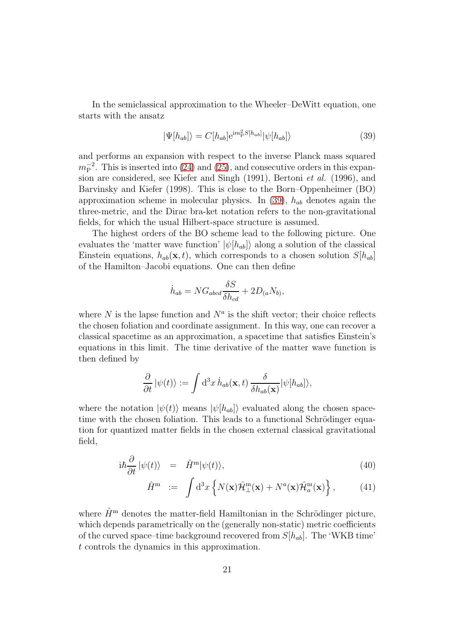In the semiclassical approximation to the Wheeler–DeWitt equation, one starts with the ansatz

<span id="page-21-0"></span>
$$
|\Psi[h_{ab}]\rangle = C[h_{ab}]e^{im_P^2S[h_{ab}]}|\psi[h_{ab}]\rangle
$$
\n(39)

and performs an expansion with respect to the inverse Planck mass squared  $m_P^{-2}$ . This is inserted into [\(24\)](#page-12-0) and [\(25\)](#page-12-0), and consecutive orders in this expansion are considered, see Kiefer and Singh (1991), Bertoni et al. (1996), and Barvinsky and Kiefer (1998). This is close to the Born–Oppenheimer (BO) approximation scheme in molecular physics. In [\(39\)](#page-21-0),  $h_{ab}$  denotes again the three-metric, and the Dirac bra-ket notation refers to the non-gravitational fields, for which the usual Hilbert-space structure is assumed.

The highest orders of the BO scheme lead to the following picture. One evaluates the 'matter wave function'  $|\psi[h_{ab}]\rangle$  along a solution of the classical Einstein equations,  $h_{ab}(\mathbf{x}, t)$ , which corresponds to a chosen solution  $S[h_{ab}]$ of the Hamilton–Jacobi equations. One can then define

$$
\dot{h}_{ab} = NG_{abcd} \frac{\delta S}{\delta h_{cd}} + 2D_{(a}N_{b)},
$$

where  $N$  is the lapse function and  $N^a$  is the shift vector; their choice reflects the chosen foliation and coordinate assignment. In this way, one can recover a classical spacetime as an approximation, a spacetime that satisfies Einstein's equations in this limit. The time derivative of the matter wave function is then defined by

$$
\frac{\partial}{\partial t} |\psi(t)\rangle := \int d^3x \, \dot{h}_{ab}(\mathbf{x},t) \, \frac{\delta}{\delta h_{ab}(\mathbf{x})} |\psi[h_{ab}]\rangle,
$$

where the notation  $|\psi(t)\rangle$  means  $|\psi(h_{ab})\rangle$  evaluated along the chosen spacetime with the chosen foliation. This leads to a functional Schrödinger equation for quantized matter fields in the chosen external classical gravitational field,

<span id="page-21-1"></span>
$$
i\hbar \frac{\partial}{\partial t} |\psi(t)\rangle = \hat{H}^{\rm m} |\psi(t)\rangle, \tag{40}
$$

$$
\hat{H}^{\mathbf{m}} := \int d^3x \left\{ N(\mathbf{x}) \hat{\mathcal{H}}^{\mathbf{m}}_{\perp}(\mathbf{x}) + N^a(\mathbf{x}) \hat{\mathcal{H}}^{\mathbf{m}}_a(\mathbf{x}) \right\},\tag{41}
$$

where  $\hat{H}^{\text{m}}$  denotes the matter-field Hamiltonian in the Schrödinger picture, which depends parametrically on the (generally non-static) metric coefficients of the curved space–time background recovered from  $S[h_{ab}]$ . The 'WKB time' t controls the dynamics in this approximation.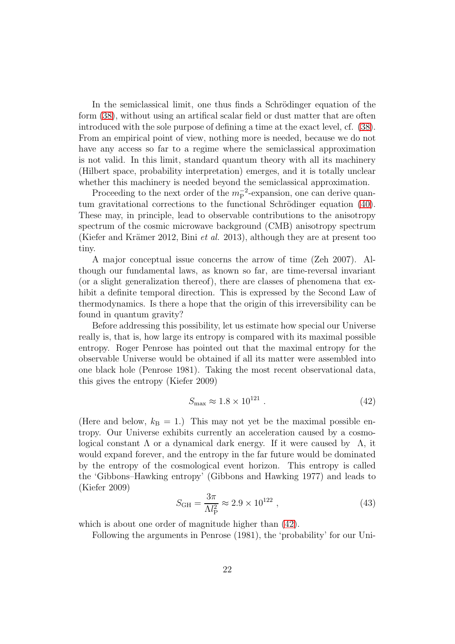In the semiclassical limit, one thus finds a Schrödinger equation of the form [\(38\)](#page-19-1), without using an artifical scalar field or dust matter that are often introduced with the sole purpose of defining a time at the exact level, cf. [\(38\)](#page-19-1). From an empirical point of view, nothing more is needed, because we do not have any access so far to a regime where the semiclassical approximation is not valid. In this limit, standard quantum theory with all its machinery (Hilbert space, probability interpretation) emerges, and it is totally unclear whether this machinery is needed beyond the semiclassical approximation.

Proceeding to the next order of the  $m_P^{-2}$ -expansion, one can derive quan-tum gravitational corrections to the functional Schrödinger equation [\(40\)](#page-21-1). These may, in principle, lead to observable contributions to the anisotropy spectrum of the cosmic microwave background (CMB) anisotropy spectrum (Kiefer and Krämer 2012, Bini et al. 2013), although they are at present too tiny.

A major conceptual issue concerns the arrow of time (Zeh 2007). Although our fundamental laws, as known so far, are time-reversal invariant (or a slight generalization thereof), there are classes of phenomena that exhibit a definite temporal direction. This is expressed by the Second Law of thermodynamics. Is there a hope that the origin of this irreversibility can be found in quantum gravity?

Before addressing this possibility, let us estimate how special our Universe really is, that is, how large its entropy is compared with its maximal possible entropy. Roger Penrose has pointed out that the maximal entropy for the observable Universe would be obtained if all its matter were assembled into one black hole (Penrose 1981). Taking the most recent observational data, this gives the entropy (Kiefer 2009)

<span id="page-22-0"></span>
$$
S_{\text{max}} \approx 1.8 \times 10^{121} \tag{42}
$$

(Here and below,  $k_B = 1$ .) This may not yet be the maximal possible entropy. Our Universe exhibits currently an acceleration caused by a cosmological constant  $\Lambda$  or a dynamical dark energy. If it were caused by  $\Lambda$ , it would expand forever, and the entropy in the far future would be dominated by the entropy of the cosmological event horizon. This entropy is called the 'Gibbons–Hawking entropy' (Gibbons and Hawking 1977) and leads to (Kiefer 2009)

$$
S_{\rm GH} = \frac{3\pi}{\Lambda l_{\rm P}^2} \approx 2.9 \times 10^{122} \,, \tag{43}
$$

which is about one order of magnitude higher than [\(42\)](#page-22-0).

Following the arguments in Penrose (1981), the 'probability' for our Uni-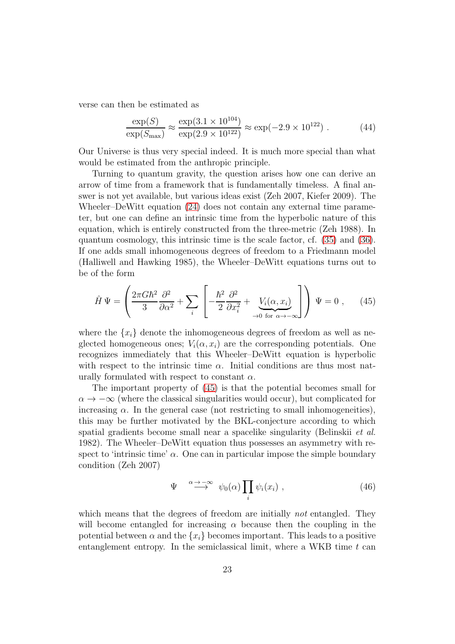verse can then be estimated as

$$
\frac{\exp(S)}{\exp(S_{\text{max}})} \approx \frac{\exp(3.1 \times 10^{104})}{\exp(2.9 \times 10^{122})} \approx \exp(-2.9 \times 10^{122}) . \tag{44}
$$

Our Universe is thus very special indeed. It is much more special than what would be estimated from the anthropic principle.

Turning to quantum gravity, the question arises how one can derive an arrow of time from a framework that is fundamentally timeless. A final answer is not yet available, but various ideas exist (Zeh 2007, Kiefer 2009). The Wheeler–DeWitt equation [\(24\)](#page-12-0) does not contain any external time parameter, but one can define an intrinsic time from the hyperbolic nature of this equation, which is entirely constructed from the three-metric (Zeh 1988). In quantum cosmology, this intrinsic time is the scale factor, cf. [\(35\)](#page-17-0) and [\(36\)](#page-18-0). If one adds small inhomogeneous degrees of freedom to a Friedmann model (Halliwell and Hawking 1985), the Wheeler–DeWitt equations turns out to be of the form

<span id="page-23-0"></span>
$$
\hat{H}\Psi = \left(\frac{2\pi G\hbar^2}{3}\frac{\partial^2}{\partial\alpha^2} + \sum_i \left[ -\frac{\hbar^2}{2}\frac{\partial^2}{\partial x_i^2} + \underbrace{V_i(\alpha, x_i)}_{\rightarrow 0 \text{ for } \alpha \rightarrow -\infty} \right] \right)\Psi = 0 , \quad (45)
$$

where the  $\{x_i\}$  denote the inhomogeneous degrees of freedom as well as neglected homogeneous ones;  $V_i(\alpha, x_i)$  are the corresponding potentials. One recognizes immediately that this Wheeler–DeWitt equation is hyperbolic with respect to the intrinsic time  $\alpha$ . Initial conditions are thus most naturally formulated with respect to constant  $\alpha$ .

The important property of [\(45\)](#page-23-0) is that the potential becomes small for  $\alpha \to -\infty$  (where the classical singularities would occur), but complicated for increasing  $\alpha$ . In the general case (not restricting to small inhomogeneities), this may be further motivated by the BKL-conjecture according to which spatial gradients become small near a spacelike singularity (Belinskii *et al.*) 1982). The Wheeler–DeWitt equation thus possesses an asymmetry with respect to 'intrinsic time'  $\alpha$ . One can in particular impose the simple boundary condition (Zeh 2007)

<span id="page-23-1"></span>
$$
\Psi \stackrel{\alpha \to -\infty}{\longrightarrow} \psi_0(\alpha) \prod_i \psi_i(x_i) , \qquad (46)
$$

which means that the degrees of freedom are initially *not* entangled. They will become entangled for increasing  $\alpha$  because then the coupling in the potential between  $\alpha$  and the  $\{x_i\}$  becomes important. This leads to a positive entanglement entropy. In the semiclassical limit, where a WKB time  $t$  can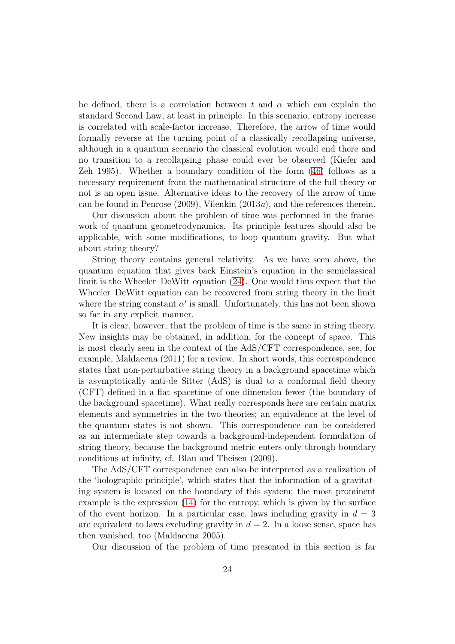be defined, there is a correlation between t and  $\alpha$  which can explain the standard Second Law, at least in principle. In this scenario, entropy increase is correlated with scale-factor increase. Therefore, the arrow of time would formally reverse at the turning point of a classically recollapsing universe, although in a quantum scenario the classical evolution would end there and no transition to a recollapsing phase could ever be observed (Kiefer and Zeh 1995). Whether a boundary condition of the form [\(46\)](#page-23-1) follows as a necessary requirement from the mathematical structure of the full theory or not is an open issue. Alternative ideas to the recovery of the arrow of time can be found in Penrose (2009), Vilenkin (2013a), and the references therein.

Our discussion about the problem of time was performed in the framework of quantum geometrodynamics. Its principle features should also be applicable, with some modifications, to loop quantum gravity. But what about string theory?

String theory contains general relativity. As we have seen above, the quantum equation that gives back Einstein's equation in the semiclassical limit is the Wheeler–DeWitt equation [\(24\)](#page-12-0). One would thus expect that the Wheeler–DeWitt equation can be recovered from string theory in the limit where the string constant  $\alpha'$  is small. Unfortunately, this has not been shown so far in any explicit manner.

It is clear, however, that the problem of time is the same in string theory. New insights may be obtained, in addition, for the concept of space. This is most clearly seen in the context of the AdS/CFT correspondence, see, for example, Maldacena (2011) for a review. In short words, this correspondence states that non-perturbative string theory in a background spacetime which is asymptotically anti-de Sitter (AdS) is dual to a conformal field theory (CFT) defined in a flat spacetime of one dimension fewer (the boundary of the background spacetime). What really corresponds here are certain matrix elements and symmetries in the two theories; an equivalence at the level of the quantum states is not shown. This correspondence can be considered as an intermediate step towards a background-independent formulation of string theory, because the background metric enters only through boundary conditions at infinity, cf. Blau and Theisen (2009).

The AdS/CFT correspondence can also be interpreted as a realization of the 'holographic principle', which states that the information of a gravitating system is located on the boundary of this system; the most prominent example is the expression [\(14\)](#page-7-1) for the entropy, which is given by the surface of the event horizon. In a particular case, laws including gravity in  $d = 3$ are equivalent to laws excluding gravity in  $d = 2$ . In a loose sense, space has then vanished, too (Maldacena 2005).

Our discussion of the problem of time presented in this section is far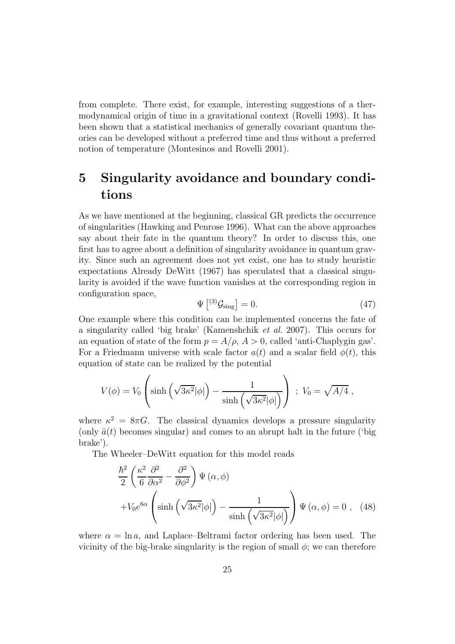from complete. There exist, for example, interesting suggestions of a thermodynamical origin of time in a gravitational context (Rovelli 1993). It has been shown that a statistical mechanics of generally covariant quantum theories can be developed without a preferred time and thus without a preferred notion of temperature (Montesinos and Rovelli 2001).

# 5 Singularity avoidance and boundary conditions

As we have mentioned at the beginning, classical GR predicts the occurrence of singularities (Hawking and Penrose 1996). What can the above approaches say about their fate in the quantum theory? In order to discuss this, one first has to agree about a definition of singularity avoidance in quantum gravity. Since such an agreement does not yet exist, one has to study heuristic expectations Already DeWitt (1967) has speculated that a classical singularity is avoided if the wave function vanishes at the corresponding region in configuration space,

$$
\Psi\left[{}^{(3)}\mathcal{G}_{\text{sing}}\right] = 0.\tag{47}
$$

One example where this condition can be implemented concerns the fate of a singularity called 'big brake' (Kamenshchik et al. 2007). This occurs for an equation of state of the form  $p = A/\rho$ ,  $A > 0$ , called 'anti-Chaplygin gas'. For a Friedmann universe with scale factor  $a(t)$  and a scalar field  $\phi(t)$ , this equation of state can be realized by the potential

$$
V(\phi) = V_0 \left( \sinh\left(\sqrt{3\kappa^2}|\phi|\right) - \frac{1}{\sinh\left(\sqrt{3\kappa^2}|\phi|\right)} \right) ; V_0 = \sqrt{A/4} ,
$$

where  $\kappa^2 = 8\pi G$ . The classical dynamics develops a pressure singularity (only  $\ddot{a}(t)$  becomes singular) and comes to an abrupt halt in the future ('big brake').

The Wheeler–DeWitt equation for this model reads

$$
\frac{\hbar^2}{2} \left( \frac{\kappa^2}{6} \frac{\partial^2}{\partial \alpha^2} - \frac{\partial^2}{\partial \phi^2} \right) \Psi (\alpha, \phi)
$$

$$
+ V_0 e^{6\alpha} \left( \sinh \left( \sqrt{3\kappa^2} |\phi| \right) - \frac{1}{\sinh \left( \sqrt{3\kappa^2} |\phi| \right)} \right) \Psi (\alpha, \phi) = 0 , \quad (48)
$$

where  $\alpha = \ln a$ , and Laplace–Beltrami factor ordering has been used. The vicinity of the big-brake singularity is the region of small  $\phi$ ; we can therefore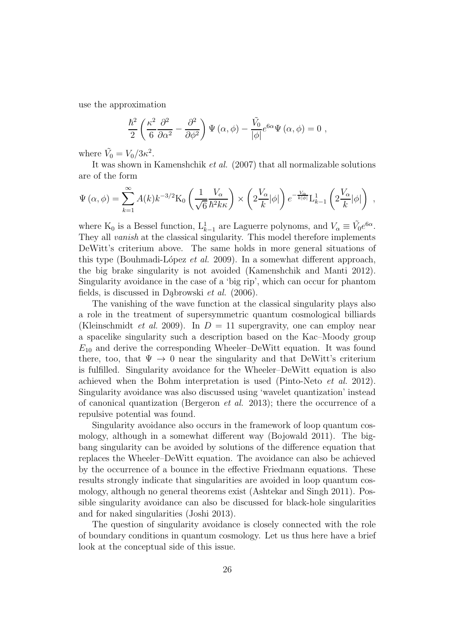use the approximation

$$
\frac{\hbar^2}{2} \left( \frac{\kappa^2}{6} \frac{\partial^2}{\partial \alpha^2} - \frac{\partial^2}{\partial \phi^2} \right) \Psi \left( \alpha, \phi \right) - \frac{\tilde{V_0}}{|\phi|} e^{6\alpha} \Psi \left( \alpha, \phi \right) = 0 ,
$$

where  $\tilde{V}_0 = V_0/3\kappa^2$ .

It was shown in Kamenshchik et al. (2007) that all normalizable solutions are of the form

$$
\Psi\left(\alpha,\phi\right) = \sum_{k=1}^{\infty} A(k)k^{-3/2}\mathrm{K}_0\left(\frac{1}{\sqrt{6}}\frac{V_{\alpha}}{\hbar^2 k\kappa}\right) \times \left(2\frac{V_{\alpha}}{k}|\phi|\right)e^{-\frac{V_{\alpha}}{k|\phi|}}\mathrm{L}_{k-1}^1\left(2\frac{V_{\alpha}}{k}|\phi|\right) ,
$$

where  $K_0$  is a Bessel function,  $L_{k-1}^1$  are Laguerre polynoms, and  $V_\alpha \equiv \tilde{V}_0 e^{6\alpha}$ . They all vanish at the classical singularity. This model therefore implements DeWitt's criterium above. The same holds in more general situations of this type (Bouhmadi-López et al. 2009). In a somewhat different approach, the big brake singularity is not avoided (Kamenshchik and Manti 2012). Singularity avoidance in the case of a 'big rip', which can occur for phantom fields, is discussed in Dabrowski  $et \ al.$  (2006).

The vanishing of the wave function at the classical singularity plays also a role in the treatment of supersymmetric quantum cosmological billiards (Kleinschmidt *et al.* 2009). In  $D = 11$  supergravity, one can employ near a spacelike singularity such a description based on the Kac–Moody group  $E_{10}$  and derive the corresponding Wheeler–DeWitt equation. It was found there, too, that  $\Psi \to 0$  near the singularity and that DeWitt's criterium is fulfilled. Singularity avoidance for the Wheeler–DeWitt equation is also achieved when the Bohm interpretation is used (Pinto-Neto et al. 2012). Singularity avoidance was also discussed using 'wavelet quantization' instead of canonical quantization (Bergeron  $et$  al. 2013); there the occurrence of a repulsive potential was found.

Singularity avoidance also occurs in the framework of loop quantum cosmology, although in a somewhat different way (Bojowald 2011). The bigbang singularity can be avoided by solutions of the difference equation that replaces the Wheeler–DeWitt equation. The avoidance can also be achieved by the occurrence of a bounce in the effective Friedmann equations. These results strongly indicate that singularities are avoided in loop quantum cosmology, although no general theorems exist (Ashtekar and Singh 2011). Possible singularity avoidance can also be discussed for black-hole singularities and for naked singularities (Joshi 2013).

The question of singularity avoidance is closely connected with the role of boundary conditions in quantum cosmology. Let us thus here have a brief look at the conceptual side of this issue.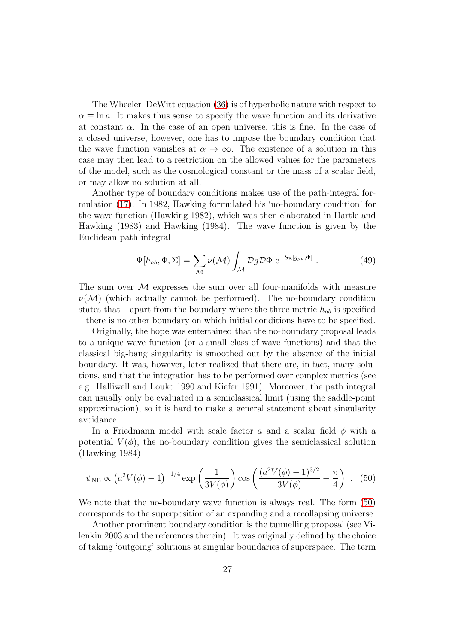The Wheeler–DeWitt equation [\(36\)](#page-18-0) is of hyperbolic nature with respect to  $\alpha \equiv \ln a$ . It makes thus sense to specify the wave function and its derivative at constant  $\alpha$ . In the case of an open universe, this is fine. In the case of a closed universe, however, one has to impose the boundary condition that the wave function vanishes at  $\alpha \to \infty$ . The existence of a solution in this case may then lead to a restriction on the allowed values for the parameters of the model, such as the cosmological constant or the mass of a scalar field, or may allow no solution at all.

Another type of boundary conditions makes use of the path-integral formulation [\(17\)](#page-9-1). In 1982, Hawking formulated his 'no-boundary condition' for the wave function (Hawking 1982), which was then elaborated in Hartle and Hawking (1983) and Hawking (1984). The wave function is given by the Euclidean path integral

$$
\Psi[h_{ab}, \Phi, \Sigma] = \sum_{\mathcal{M}} \nu(\mathcal{M}) \int_{\mathcal{M}} \mathcal{D}g \mathcal{D} \Phi \, e^{-S_{\Sigma}[g_{\mu\nu}, \Phi]} \,. \tag{49}
$$

The sum over  $\mathcal M$  expresses the sum over all four-manifolds with measure  $\nu(\mathcal{M})$  (which actually cannot be performed). The no-boundary condition states that – apart from the boundary where the three metric  $h_{ab}$  is specified – there is no other boundary on which initial conditions have to be specified.

Originally, the hope was entertained that the no-boundary proposal leads to a unique wave function (or a small class of wave functions) and that the classical big-bang singularity is smoothed out by the absence of the initial boundary. It was, however, later realized that there are, in fact, many solutions, and that the integration has to be performed over complex metrics (see e.g. Halliwell and Louko 1990 and Kiefer 1991). Moreover, the path integral can usually only be evaluated in a semiclassical limit (using the saddle-point approximation), so it is hard to make a general statement about singularity avoidance.

In a Friedmann model with scale factor a and a scalar field  $\phi$  with a potential  $V(\phi)$ , the no-boundary condition gives the semiclassical solution (Hawking 1984)

<span id="page-27-0"></span>
$$
\psi_{\rm NB} \propto \left(a^2 V(\phi) - 1\right)^{-1/4} \exp\left(\frac{1}{3V(\phi)}\right) \cos\left(\frac{(a^2 V(\phi) - 1)^{3/2}}{3V(\phi)} - \frac{\pi}{4}\right) \ . \tag{50}
$$

We note that the no-boundary wave function is always real. The form [\(50\)](#page-27-0) corresponds to the superposition of an expanding and a recollapsing universe.

Another prominent boundary condition is the tunnelling proposal (see Vilenkin 2003 and the references therein). It was originally defined by the choice of taking 'outgoing' solutions at singular boundaries of superspace. The term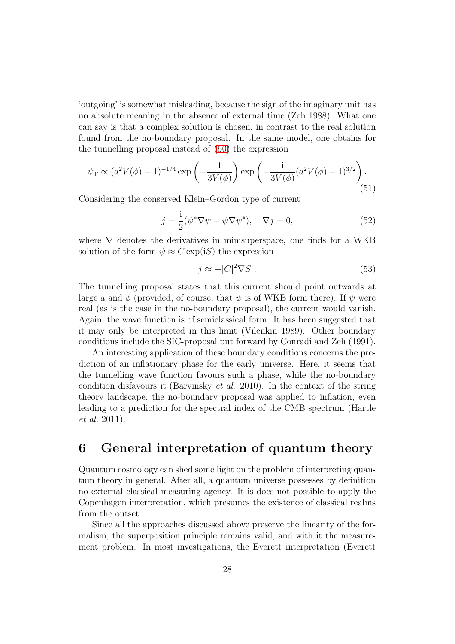'outgoing' is somewhat misleading, because the sign of the imaginary unit has no absolute meaning in the absence of external time (Zeh 1988). What one can say is that a complex solution is chosen, in contrast to the real solution found from the no-boundary proposal. In the same model, one obtains for the tunnelling proposal instead of [\(50\)](#page-27-0) the expression

$$
\psi_{\rm T} \propto (a^2 V(\phi) - 1)^{-1/4} \exp\left(-\frac{1}{3V(\phi)}\right) \exp\left(-\frac{\mathrm{i}}{3V(\phi)} (a^2 V(\phi) - 1)^{3/2}\right). \tag{51}
$$

Considering the conserved Klein–Gordon type of current

$$
j = \frac{i}{2}(\psi^*\nabla\psi - \psi\nabla\psi^*), \quad \nabla j = 0,
$$
\n(52)

where  $\nabla$  denotes the derivatives in minisuperspace, one finds for a WKB solution of the form  $\psi \approx C \exp(iS)$  the expression

$$
j \approx -|C|^2 \nabla S \tag{53}
$$

The tunnelling proposal states that this current should point outwards at large a and  $\phi$  (provided, of course, that  $\psi$  is of WKB form there). If  $\psi$  were real (as is the case in the no-boundary proposal), the current would vanish. Again, the wave function is of semiclassical form. It has been suggested that it may only be interpreted in this limit (Vilenkin 1989). Other boundary conditions include the SIC-proposal put forward by Conradi and Zeh (1991).

An interesting application of these boundary conditions concerns the prediction of an inflationary phase for the early universe. Here, it seems that the tunnelling wave function favours such a phase, while the no-boundary condition disfavours it (Barvinsky et al. 2010). In the context of the string theory landscape, the no-boundary proposal was applied to inflation, even leading to a prediction for the spectral index of the CMB spectrum (Hartle et al. 2011).

## 6 General interpretation of quantum theory

Quantum cosmology can shed some light on the problem of interpreting quantum theory in general. After all, a quantum universe possesses by definition no external classical measuring agency. It is does not possible to apply the Copenhagen interpretation, which presumes the existence of classical realms from the outset.

Since all the approaches discussed above preserve the linearity of the formalism, the superposition principle remains valid, and with it the measurement problem. In most investigations, the Everett interpretation (Everett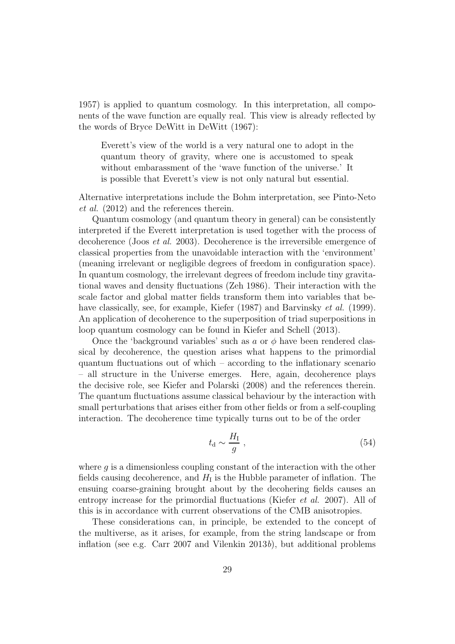1957) is applied to quantum cosmology. In this interpretation, all components of the wave function are equally real. This view is already reflected by the words of Bryce DeWitt in DeWitt (1967):

Everett's view of the world is a very natural one to adopt in the quantum theory of gravity, where one is accustomed to speak without embarassment of the 'wave function of the universe.' It is possible that Everett's view is not only natural but essential.

Alternative interpretations include the Bohm interpretation, see Pinto-Neto et al. (2012) and the references therein.

Quantum cosmology (and quantum theory in general) can be consistently interpreted if the Everett interpretation is used together with the process of decoherence (Joos et al. 2003). Decoherence is the irreversible emergence of classical properties from the unavoidable interaction with the 'environment' (meaning irrelevant or negligible degrees of freedom in configuration space). In quantum cosmology, the irrelevant degrees of freedom include tiny gravitational waves and density fluctuations (Zeh 1986). Their interaction with the scale factor and global matter fields transform them into variables that behave classically, see, for example, Kiefer (1987) and Barvinsky *et al.* (1999). An application of decoherence to the superposition of triad superpositions in loop quantum cosmology can be found in Kiefer and Schell (2013).

Once the 'background variables' such as a or  $\phi$  have been rendered classical by decoherence, the question arises what happens to the primordial quantum fluctuations out of which – according to the inflationary scenario – all structure in the Universe emerges. Here, again, decoherence plays the decisive role, see Kiefer and Polarski (2008) and the references therein. The quantum fluctuations assume classical behaviour by the interaction with small perturbations that arises either from other fields or from a self-coupling interaction. The decoherence time typically turns out to be of the order

$$
t_{\rm d} \sim \frac{H_{\rm I}}{g} \,,\tag{54}
$$

where  $q$  is a dimensionless coupling constant of the interaction with the other fields causing decoherence, and  $H_I$  is the Hubble parameter of inflation. The ensuing coarse-graining brought about by the decohering fields causes an entropy increase for the primordial fluctuations (Kiefer et al. 2007). All of this is in accordance with current observations of the CMB anisotropies.

These considerations can, in principle, be extended to the concept of the multiverse, as it arises, for example, from the string landscape or from inflation (see e.g. Carr 2007 and Vilenkin  $2013b$ ), but additional problems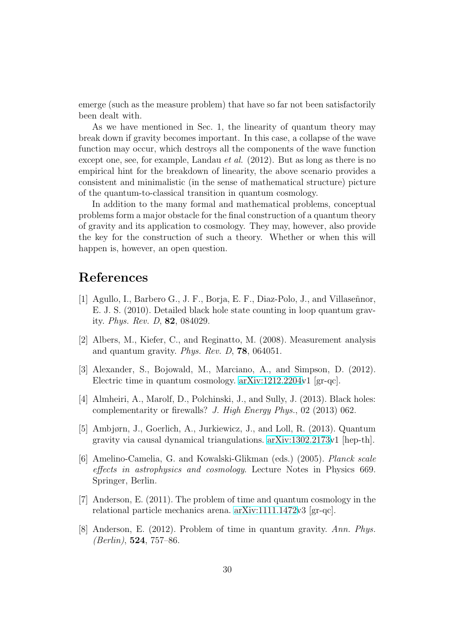emerge (such as the measure problem) that have so far not been satisfactorily been dealt with.

As we have mentioned in Sec. 1, the linearity of quantum theory may break down if gravity becomes important. In this case, a collapse of the wave function may occur, which destroys all the components of the wave function except one, see, for example, Landau *et al.* (2012). But as long as there is no empirical hint for the breakdown of linearity, the above scenario provides a consistent and minimalistic (in the sense of mathematical structure) picture of the quantum-to-classical transition in quantum cosmology.

In addition to the many formal and mathematical problems, conceptual problems form a major obstacle for the final construction of a quantum theory of gravity and its application to cosmology. They may, however, also provide the key for the construction of such a theory. Whether or when this will happen is, however, an open question.

## References

- [1] Agullo, I., Barbero G., J. F., Borja, E. F., Diaz-Polo, J., and Villaseñnor, E. J. S. (2010). Detailed black hole state counting in loop quantum gravity. Phys. Rev. D, 82, 084029.
- [2] Albers, M., Kiefer, C., and Reginatto, M. (2008). Measurement analysis and quantum gravity. Phys. Rev. D, 78, 064051.
- [3] Alexander, S., Bojowald, M., Marciano, A., and Simpson, D. (2012). Electric time in quantum cosmology. [arXiv:1212.2204v](http://arxiv.org/abs/1212.2204)1 [gr-qc].
- [4] Almheiri, A., Marolf, D., Polchinski, J., and Sully, J. (2013). Black holes: complementarity or firewalls? J. High Energy Phys., 02 (2013) 062.
- [5] Ambjørn, J., Goerlich, A., Jurkiewicz, J., and Loll, R. (2013). Quantum gravity via causal dynamical triangulations. [arXiv:1302.2173v](http://arxiv.org/abs/1302.2173)1 [hep-th].
- [6] Amelino-Camelia, G. and Kowalski-Glikman (eds.) (2005). Planck scale effects in astrophysics and cosmology. Lecture Notes in Physics 669. Springer, Berlin.
- [7] Anderson, E. (2011). The problem of time and quantum cosmology in the relational particle mechanics arena. [arXiv:1111.1472v](http://arxiv.org/abs/1111.1472)3 [gr-qc].
- [8] Anderson, E. (2012). Problem of time in quantum gravity. Ann. Phys.  $(Berlin)$ , **524**, 757–86.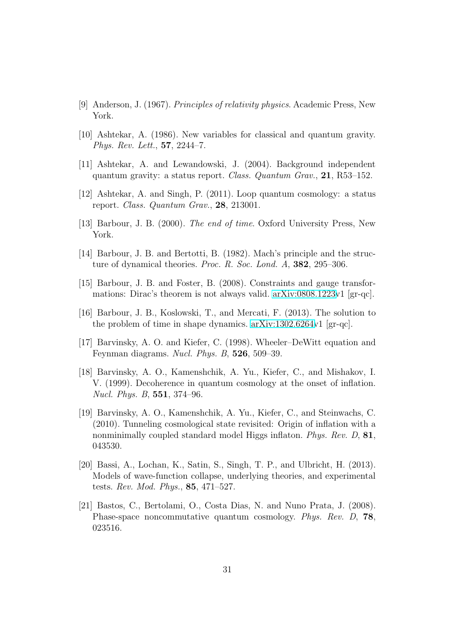- [9] Anderson, J. (1967). Principles of relativity physics. Academic Press, New York.
- [10] Ashtekar, A. (1986). New variables for classical and quantum gravity. Phys. Rev. Lett., 57, 2244–7.
- [11] Ashtekar, A. and Lewandowski, J. (2004). Background independent quantum gravity: a status report. Class. Quantum Grav., 21, R53–152.
- [12] Ashtekar, A. and Singh, P. (2011). Loop quantum cosmology: a status report. Class. Quantum Grav., 28, 213001.
- [13] Barbour, J. B. (2000). The end of time. Oxford University Press, New York.
- [14] Barbour, J. B. and Bertotti, B. (1982). Mach's principle and the structure of dynamical theories. Proc. R. Soc. Lond. A, 382, 295-306.
- [15] Barbour, J. B. and Foster, B. (2008). Constraints and gauge transformations: Dirac's theorem is not always valid. [arXiv:0808.1223v](http://arxiv.org/abs/0808.1223)1 [gr-qc].
- [16] Barbour, J. B., Koslowski, T., and Mercati, F. (2013). The solution to the problem of time in shape dynamics. [arXiv:1302.6264v](http://arxiv.org/abs/1302.6264)1 [gr-qc].
- [17] Barvinsky, A. O. and Kiefer, C. (1998). Wheeler–DeWitt equation and Feynman diagrams. Nucl. Phys. B, 526, 509–39.
- [18] Barvinsky, A. O., Kamenshchik, A. Yu., Kiefer, C., and Mishakov, I. V. (1999). Decoherence in quantum cosmology at the onset of inflation. Nucl. Phys. B, 551, 374–96.
- [19] Barvinsky, A. O., Kamenshchik, A. Yu., Kiefer, C., and Steinwachs, C. (2010). Tunneling cosmological state revisited: Origin of inflation with a nonminimally coupled standard model Higgs inflaton. Phys. Rev. D, 81, 043530.
- [20] Bassi, A., Lochan, K., Satin, S., Singh, T. P., and Ulbricht, H. (2013). Models of wave-function collapse, underlying theories, and experimental tests. Rev. Mod. Phys., 85, 471–527.
- [21] Bastos, C., Bertolami, O., Costa Dias, N. and Nuno Prata, J. (2008). Phase-space noncommutative quantum cosmology. Phys. Rev. D, 78, 023516.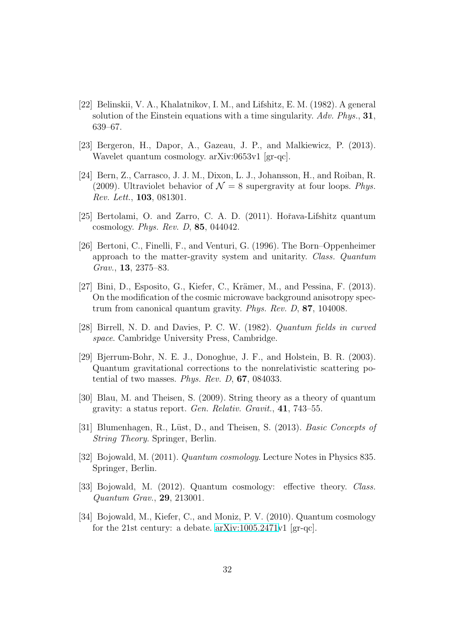- [22] Belinskii, V. A., Khalatnikov, I. M., and Lifshitz, E. M. (1982). A general solution of the Einstein equations with a time singularity.  $Adv. Phys., 31,$ 639–67.
- [23] Bergeron, H., Dapor, A., Gazeau, J. P., and Malkiewicz, P. (2013). Wavelet quantum cosmology. arXiv:0653v1 [gr-qc].
- [24] Bern, Z., Carrasco, J. J. M., Dixon, L. J., Johansson, H., and Roiban, R. (2009). Ultraviolet behavior of  $\mathcal{N} = 8$  supergravity at four loops. Phys. Rev. Lett., 103, 081301.
- [25] Bertolami, O. and Zarro, C. A. D. (2011). Hořava-Lifshitz quantum cosmology. Phys. Rev. D, 85, 044042.
- [26] Bertoni, C., Finelli, F., and Venturi, G. (1996). The Born–Oppenheimer approach to the matter-gravity system and unitarity. Class. Quantum Grav., 13, 2375–83.
- [27] Bini, D., Esposito, G., Kiefer, C., Krämer, M., and Pessina, F. (2013). On the modification of the cosmic microwave background anisotropy spectrum from canonical quantum gravity. Phys. Rev. D, 87, 104008.
- [28] Birrell, N. D. and Davies, P. C. W. (1982). Quantum fields in curved space. Cambridge University Press, Cambridge.
- [29] Bjerrum-Bohr, N. E. J., Donoghue, J. F., and Holstein, B. R. (2003). Quantum gravitational corrections to the nonrelativistic scattering potential of two masses. Phys. Rev. D, 67, 084033.
- [30] Blau, M. and Theisen, S. (2009). String theory as a theory of quantum gravity: a status report. Gen. Relativ. Gravit., 41, 743–55.
- [31] Blumenhagen, R., Lüst, D., and Theisen, S. (2013). Basic Concepts of String Theory. Springer, Berlin.
- [32] Bojowald, M. (2011). Quantum cosmology. Lecture Notes in Physics 835. Springer, Berlin.
- [33] Bojowald, M. (2012). Quantum cosmology: effective theory. Class. Quantum Grav., 29, 213001.
- [34] Bojowald, M., Kiefer, C., and Moniz, P. V. (2010). Quantum cosmology for the 21st century: a debate. [arXiv:1005.2471v](http://arxiv.org/abs/1005.2471)1 [gr-qc].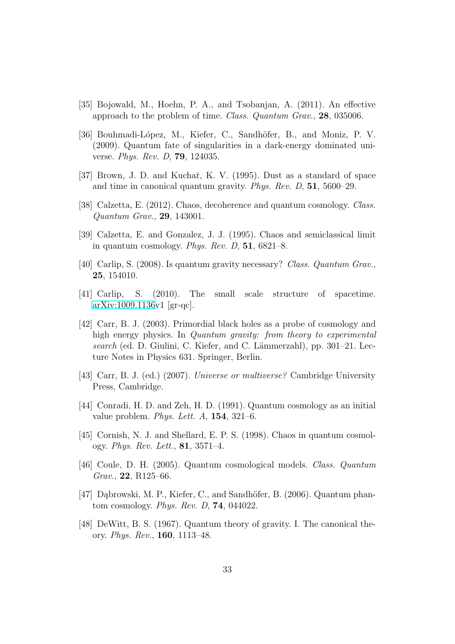- [35] Bojowald, M., Hoehn, P. A., and Tsobanjan, A. (2011). An effective approach to the problem of time. Class. Quantum Grav., 28, 035006.
- [36] Bouhmadi-L´opez, M., Kiefer, C., Sandh¨ofer, B., and Moniz, P. V. (2009). Quantum fate of singularities in a dark-energy dominated universe. Phys. Rev. D, 79, 124035.
- [37] Brown, J. D. and Kuchař, K. V. (1995). Dust as a standard of space and time in canonical quantum gravity. Phys. Rev. D, 51, 5600–29.
- [38] Calzetta, E. (2012). Chaos, decoherence and quantum cosmology. Class. Quantum Grav., 29, 143001.
- [39] Calzetta, E. and Gonzalez, J. J. (1995). Chaos and semiclassical limit in quantum cosmology. Phys. Rev. D,  $51$ ,  $6821-8$ .
- [40] Carlip, S. (2008). Is quantum gravity necessary? Class. Quantum Grav., 25, 154010.
- [41] Carlip, S. (2010). The small scale structure of spacetime. [arXiv:1009.1136v](http://arxiv.org/abs/1009.1136)1 [gr-qc].
- [42] Carr, B. J. (2003). Primordial black holes as a probe of cosmology and high energy physics. In Quantum gravity: from theory to experimental search (ed. D. Giulini, C. Kiefer, and C. Lämmerzahl), pp. 301–21. Lecture Notes in Physics 631. Springer, Berlin.
- [43] Carr, B. J. (ed.) (2007). Universe or multiverse? Cambridge University Press, Cambridge.
- [44] Conradi, H. D. and Zeh, H. D. (1991). Quantum cosmology as an initial value problem. *Phys. Lett. A*,  $154$ ,  $321-6$ .
- [45] Cornish, N. J. and Shellard, E. P. S. (1998). Chaos in quantum cosmology. Phys. Rev. Lett., 81, 3571–4.
- [46] Coule, D. H. (2005). Quantum cosmological models. Class. Quantum Grav., 22, R125–66.
- [47] Dabrowski, M. P., Kiefer, C., and Sandhöfer, B. (2006). Quantum phantom cosmology. Phys. Rev. D, 74, 044022.
- [48] DeWitt, B. S. (1967). Quantum theory of gravity. I. The canonical theory. Phys. Rev., 160, 1113–48.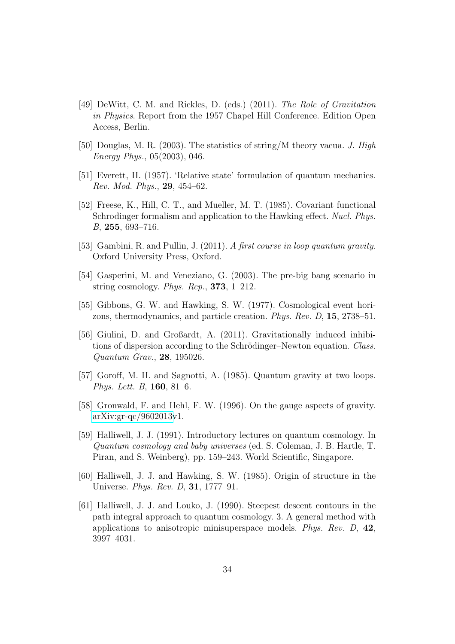- [49] DeWitt, C. M. and Rickles, D. (eds.) (2011). The Role of Gravitation in Physics. Report from the 1957 Chapel Hill Conference. Edition Open Access, Berlin.
- [50] Douglas, M. R. (2003). The statistics of string/M theory vacua. J. High Energy Phys., 05(2003), 046.
- [51] Everett, H. (1957). 'Relative state' formulation of quantum mechanics. Rev. Mod. Phys., 29, 454–62.
- [52] Freese, K., Hill, C. T., and Mueller, M. T. (1985). Covariant functional Schrodinger formalism and application to the Hawking effect. Nucl. Phys. B, 255, 693–716.
- [53] Gambini, R. and Pullin, J. (2011). A first course in loop quantum gravity. Oxford University Press, Oxford.
- [54] Gasperini, M. and Veneziano, G. (2003). The pre-big bang scenario in string cosmology. Phys. Rep.,  $373$ , 1–212.
- [55] Gibbons, G. W. and Hawking, S. W. (1977). Cosmological event horizons, thermodynamics, and particle creation. Phys. Rev. D, 15, 2738–51.
- [56] Giulini, D. and Großardt, A. (2011). Gravitationally induced inhibitions of dispersion according to the Schrödinger–Newton equation. Class. Quantum Grav., 28, 195026.
- [57] Goroff, M. H. and Sagnotti, A. (1985). Quantum gravity at two loops. Phys. Lett. B, 160, 81–6.
- [58] Gronwald, F. and Hehl, F. W. (1996). On the gauge aspects of gravity. [arXiv:gr-qc/9602013v](http://arxiv.org/abs/gr-qc/9602013)1.
- [59] Halliwell, J. J. (1991). Introductory lectures on quantum cosmology. In Quantum cosmology and baby universes (ed. S. Coleman, J. B. Hartle, T. Piran, and S. Weinberg), pp. 159–243. World Scientific, Singapore.
- [60] Halliwell, J. J. and Hawking, S. W. (1985). Origin of structure in the Universe. Phys. Rev. D, 31, 1777–91.
- [61] Halliwell, J. J. and Louko, J. (1990). Steepest descent contours in the path integral approach to quantum cosmology. 3. A general method with applications to anisotropic minisuperspace models. Phys. Rev. D, 42, 3997–4031.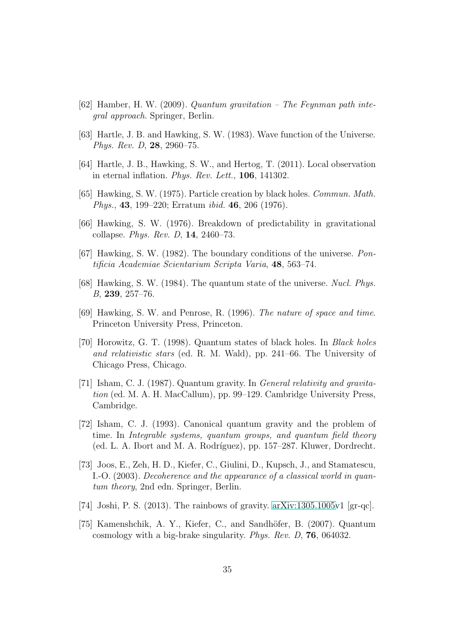- [62] Hamber, H. W. (2009). Quantum gravitation The Feynman path integral approach. Springer, Berlin.
- [63] Hartle, J. B. and Hawking, S. W. (1983). Wave function of the Universe. Phys. Rev. D, 28, 2960–75.
- [64] Hartle, J. B., Hawking, S. W., and Hertog, T. (2011). Local observation in eternal inflation. Phys. Rev. Lett., 106, 141302.
- [65] Hawking, S. W. (1975). Particle creation by black holes. Commun. Math. Phys., 43, 199–220; Erratum ibid. 46, 206 (1976).
- [66] Hawking, S. W. (1976). Breakdown of predictability in gravitational collapse. Phys. Rev. D, 14, 2460–73.
- [67] Hawking, S. W. (1982). The boundary conditions of the universe. Pontificia Academiae Scientarium Scripta Varia, 48, 563–74.
- [68] Hawking, S. W. (1984). The quantum state of the universe. Nucl. Phys. B, 239, 257–76.
- [69] Hawking, S. W. and Penrose, R. (1996). The nature of space and time. Princeton University Press, Princeton.
- [70] Horowitz, G. T. (1998). Quantum states of black holes. In Black holes and relativistic stars (ed. R. M. Wald), pp. 241–66. The University of Chicago Press, Chicago.
- [71] Isham, C. J. (1987). Quantum gravity. In General relativity and gravitation (ed. M. A. H. MacCallum), pp. 99–129. Cambridge University Press, Cambridge.
- [72] Isham, C. J. (1993). Canonical quantum gravity and the problem of time. In Integrable systems, quantum groups, and quantum field theory (ed. L. A. Ibort and M. A. Rodríguez), pp. 157–287. Kluwer, Dordrecht.
- [73] Joos, E., Zeh, H. D., Kiefer, C., Giulini, D., Kupsch, J., and Stamatescu, I.-O. (2003). Decoherence and the appearance of a classical world in quantum theory, 2nd edn. Springer, Berlin.
- [74] Joshi, P. S. (2013). The rainbows of gravity.  $arXiv:1305.1005v1$  [gr-qc].
- [75] Kamenshchik, A. Y., Kiefer, C., and Sandhöfer, B. (2007). Quantum cosmology with a big-brake singularity. Phys. Rev. D, 76, 064032.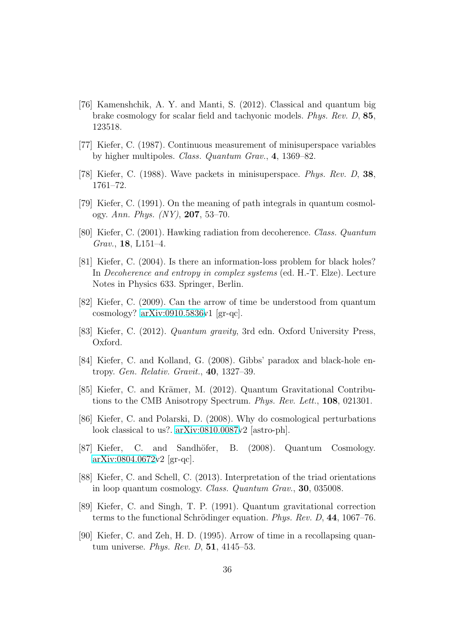- [76] Kamenshchik, A. Y. and Manti, S. (2012). Classical and quantum big brake cosmology for scalar field and tachyonic models. Phys. Rev. D, 85, 123518.
- [77] Kiefer, C. (1987). Continuous measurement of minisuperspace variables by higher multipoles. Class. Quantum Grav., 4, 1369–82.
- [78] Kiefer, C. (1988). Wave packets in minisuperspace. Phys. Rev. D, 38, 1761–72.
- [79] Kiefer, C. (1991). On the meaning of path integrals in quantum cosmology. Ann. Phys.  $(NY)$ , 207, 53–70.
- [80] Kiefer, C. (2001). Hawking radiation from decoherence. Class. Quantum Grav., 18, L151–4.
- [81] Kiefer, C. (2004). Is there an information-loss problem for black holes? In Decoherence and entropy in complex systems (ed. H.-T. Elze). Lecture Notes in Physics 633. Springer, Berlin.
- [82] Kiefer, C. (2009). Can the arrow of time be understood from quantum cosmology? [arXiv:0910.5836v](http://arxiv.org/abs/0910.5836)1 [gr-qc].
- [83] Kiefer, C. (2012). Quantum gravity, 3rd edn. Oxford University Press, Oxford.
- [84] Kiefer, C. and Kolland, G. (2008). Gibbs' paradox and black-hole entropy. Gen. Relativ. Gravit., 40, 1327–39.
- [85] Kiefer, C. and Krämer, M. (2012). Quantum Gravitational Contributions to the CMB Anisotropy Spectrum. Phys. Rev. Lett., 108, 021301.
- [86] Kiefer, C. and Polarski, D. (2008). Why do cosmological perturbations look classical to us?. [arXiv:0810.0087v](http://arxiv.org/abs/0810.0087)2 [astro-ph].
- [87] Kiefer, C. and Sandhöfer, B. (2008). Quantum Cosmology.  $arXiv:0804.0672v2$  $arXiv:0804.0672v2$  [gr-qc].
- [88] Kiefer, C. and Schell, C. (2013). Interpretation of the triad orientations in loop quantum cosmology. Class. Quantum Grav., 30, 035008.
- [89] Kiefer, C. and Singh, T. P. (1991). Quantum gravitational correction terms to the functional Schrödinger equation. Phys. Rev. D,  $44$ , 1067–76.
- [90] Kiefer, C. and Zeh, H. D. (1995). Arrow of time in a recollapsing quantum universe. Phys. Rev. D, 51, 4145–53.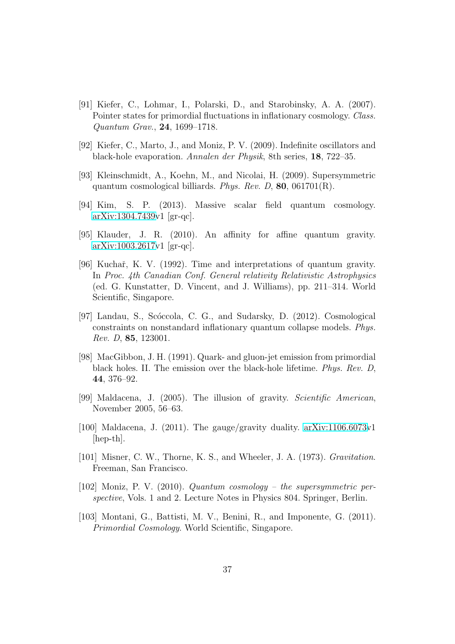- [91] Kiefer, C., Lohmar, I., Polarski, D., and Starobinsky, A. A. (2007). Pointer states for primordial fluctuations in inflationary cosmology. Class. Quantum Grav., 24, 1699–1718.
- [92] Kiefer, C., Marto, J., and Moniz, P. V. (2009). Indefinite oscillators and black-hole evaporation. Annalen der Physik, 8th series, 18, 722–35.
- [93] Kleinschmidt, A., Koehn, M., and Nicolai, H. (2009). Supersymmetric quantum cosmological billiards. Phys. Rev. D, 80, 061701(R).
- [94] Kim, S. P. (2013). Massive scalar field quantum cosmology. [arXiv:1304.7439v](http://arxiv.org/abs/1304.7439)1 [gr-qc].
- [95] Klauder, J. R. (2010). An affinity for affine quantum gravity. [arXiv:1003.2617v](http://arxiv.org/abs/1003.2617)1 [gr-qc].
- [96] Kuchař, K. V. (1992). Time and interpretations of quantum gravity. In Proc. 4th Canadian Conf. General relativity Relativistic Astrophysics (ed. G. Kunstatter, D. Vincent, and J. Williams), pp. 211–314. World Scientific, Singapore.
- [97] Landau, S., Scóccola, C. G., and Sudarsky, D. (2012). Cosmological constraints on nonstandard inflationary quantum collapse models. Phys. Rev. D, 85, 123001.
- [98] MacGibbon, J. H. (1991). Quark- and gluon-jet emission from primordial black holes. II. The emission over the black-hole lifetime. Phys. Rev. D, 44, 376–92.
- [99] Maldacena, J. (2005). The illusion of gravity. Scientific American, November 2005, 56–63.
- [100] Maldacena, J. (2011). The gauge/gravity duality. [arXiv:1106.6073v](http://arxiv.org/abs/1106.6073)1 [hep-th].
- [101] Misner, C. W., Thorne, K. S., and Wheeler, J. A. (1973). *Gravitation*. Freeman, San Francisco.
- [102] Moniz, P. V. (2010). Quantum cosmology the supersymmetric perspective, Vols. 1 and 2. Lecture Notes in Physics 804. Springer, Berlin.
- [103] Montani, G., Battisti, M. V., Benini, R., and Imponente, G. (2011). Primordial Cosmology. World Scientific, Singapore.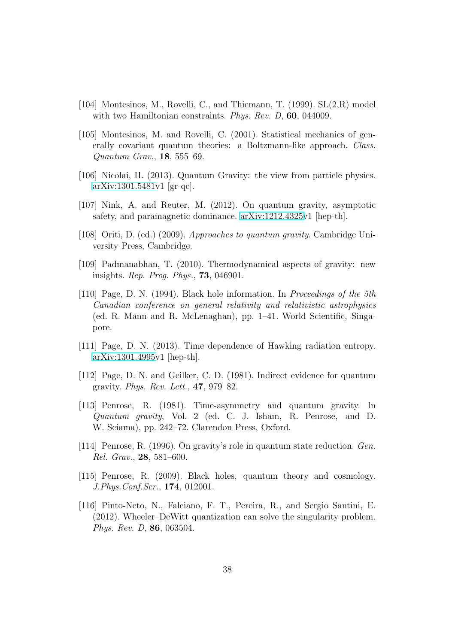- [104] Montesinos, M., Rovelli, C., and Thiemann, T. (1999). SL(2,R) model with two Hamiltonian constraints. *Phys. Rev. D*, **60**, 044009.
- [105] Montesinos, M. and Rovelli, C. (2001). Statistical mechanics of generally covariant quantum theories: a Boltzmann-like approach. Class. Quantum Grav., 18, 555–69.
- [106] Nicolai, H. (2013). Quantum Gravity: the view from particle physics. [arXiv:1301.5481v](http://arxiv.org/abs/1301.5481)1 [gr-qc].
- [107] Nink, A. and Reuter, M. (2012). On quantum gravity, asymptotic safety, and paramagnetic dominance. [arXiv:1212.4325v](http://arxiv.org/abs/1212.4325)1 [hep-th].
- [108] Oriti, D. (ed.) (2009). Approaches to quantum gravity. Cambridge University Press, Cambridge.
- [109] Padmanabhan, T. (2010). Thermodynamical aspects of gravity: new insights. Rep. Prog. Phys., 73, 046901.
- [110] Page, D. N. (1994). Black hole information. In Proceedings of the 5th Canadian conference on general relativity and relativistic astrophysics (ed. R. Mann and R. McLenaghan), pp. 1–41. World Scientific, Singapore.
- [111] Page, D. N. (2013). Time dependence of Hawking radiation entropy. [arXiv:1301.4995v](http://arxiv.org/abs/1301.4995)1 [hep-th].
- [112] Page, D. N. and Geilker, C. D. (1981). Indirect evidence for quantum gravity. Phys. Rev. Lett., 47, 979–82.
- [113] Penrose, R. (1981). Time-asymmetry and quantum gravity. In Quantum gravity, Vol. 2 (ed. C. J. Isham, R. Penrose, and D. W. Sciama), pp. 242–72. Clarendon Press, Oxford.
- [114] Penrose, R. (1996). On gravity's role in quantum state reduction. Gen. Rel. Grav., 28, 581–600.
- [115] Penrose, R. (2009). Black holes, quantum theory and cosmology. J.Phys.Conf.Ser., 174, 012001.
- [116] Pinto-Neto, N., Falciano, F. T., Pereira, R., and Sergio Santini, E. (2012). Wheeler–DeWitt quantization can solve the singularity problem. Phys. Rev. D, 86, 063504.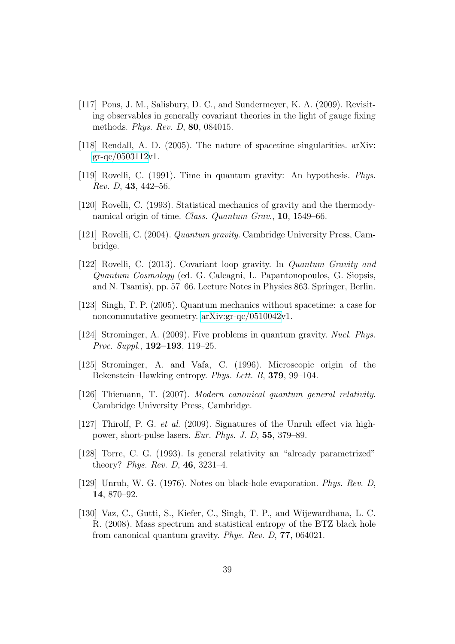- [117] Pons, J. M., Salisbury, D. C., and Sundermeyer, K. A. (2009). Revisiting observables in generally covariant theories in the light of gauge fixing methods. Phys. Rev. D, 80, 084015.
- [118] Rendall, A. D. (2005). The nature of spacetime singularities. arXiv:  $gr-qc/0503112v1$  $gr-qc/0503112v1$ .
- [119] Rovelli, C. (1991). Time in quantum gravity: An hypothesis. Phys. Rev. D, 43, 442–56.
- [120] Rovelli, C. (1993). Statistical mechanics of gravity and the thermodynamical origin of time. *Class. Quantum Grav.*, **10**, 1549–66.
- [121] Rovelli, C. (2004). Quantum gravity. Cambridge University Press, Cambridge.
- [122] Rovelli, C. (2013). Covariant loop gravity. In Quantum Gravity and Quantum Cosmology (ed. G. Calcagni, L. Papantonopoulos, G. Siopsis, and N. Tsamis), pp. 57–66. Lecture Notes in Physics 863. Springer, Berlin.
- [123] Singh, T. P. (2005). Quantum mechanics without spacetime: a case for noncommutative geometry. [arXiv:gr-qc/0510042v](http://arxiv.org/abs/gr-qc/0510042)1.
- [124] Strominger, A. (2009). Five problems in quantum gravity. Nucl. Phys. Proc. Suppl., 192–193, 119–25.
- [125] Strominger, A. and Vafa, C. (1996). Microscopic origin of the Bekenstein–Hawking entropy. Phys. Lett. B, 379, 99–104.
- [126] Thiemann, T. (2007). Modern canonical quantum general relativity. Cambridge University Press, Cambridge.
- [127] Thirolf, P. G. et al. (2009). Signatures of the Unruh effect via highpower, short-pulse lasers. Eur. Phys. J. D, 55, 379–89.
- [128] Torre, C. G. (1993). Is general relativity an "already parametrized" theory? Phys. Rev. D, 46, 3231–4.
- [129] Unruh, W. G. (1976). Notes on black-hole evaporation. Phys. Rev. D, 14, 870–92.
- [130] Vaz, C., Gutti, S., Kiefer, C., Singh, T. P., and Wijewardhana, L. C. R. (2008). Mass spectrum and statistical entropy of the BTZ black hole from canonical quantum gravity. Phys. Rev. D, 77, 064021.